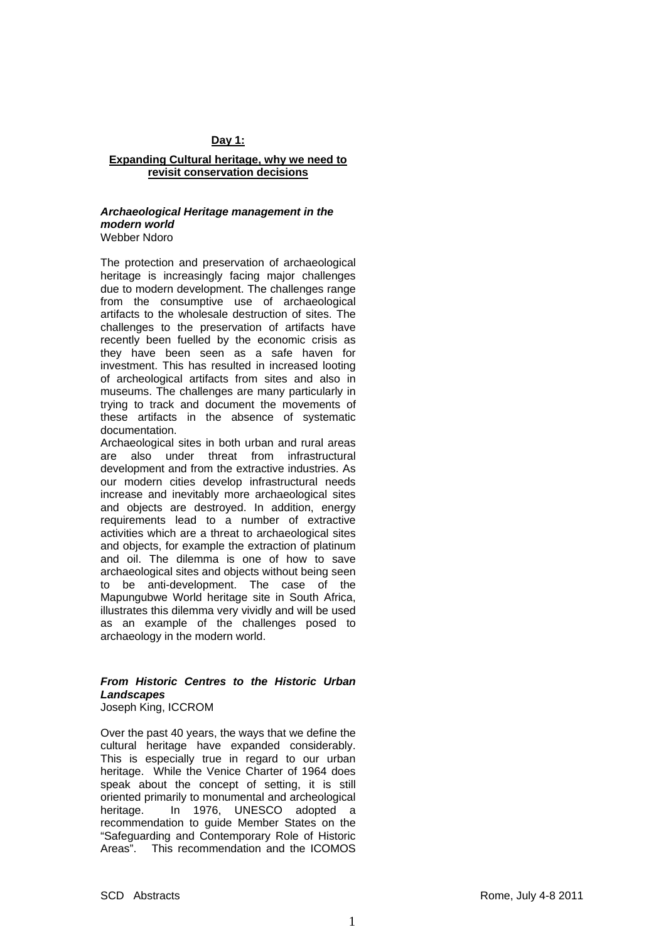# **Day 1:**

#### **Expanding Cultural heritage, why we need to revisit conservation decisions**

#### *Archaeological Heritage management in the modern world*  Webber Ndoro

The protection and preservation of archaeological heritage is increasingly facing major challenges due to modern development. The challenges range from the consumptive use of archaeological artifacts to the wholesale destruction of sites. The challenges to the preservation of artifacts have recently been fuelled by the economic crisis as they have been seen as a safe haven for investment. This has resulted in increased looting of archeological artifacts from sites and also in museums. The challenges are many particularly in trying to track and document the movements of these artifacts in the absence of systematic documentation.

Archaeological sites in both urban and rural areas are also under threat from infrastructural development and from the extractive industries. As our modern cities develop infrastructural needs increase and inevitably more archaeological sites and objects are destroyed. In addition, energy requirements lead to a number of extractive activities which are a threat to archaeological sites and objects, for example the extraction of platinum and oil. The dilemma is one of how to save archaeological sites and objects without being seen to be anti-development. The case of the Mapungubwe World heritage site in South Africa, illustrates this dilemma very vividly and will be used as an example of the challenges posed to archaeology in the modern world.

# *From Historic Centres to the Historic Urban Landscapes*

Joseph King, ICCROM

Over the past 40 years, the ways that we define the cultural heritage have expanded considerably. This is especially true in regard to our urban heritage. While the Venice Charter of 1964 does speak about the concept of setting, it is still oriented primarily to monumental and archeological heritage. In 1976, UNESCO adopted a recommendation to guide Member States on the "Safeguarding and Contemporary Role of Historic Areas". This recommendation and the ICOMOS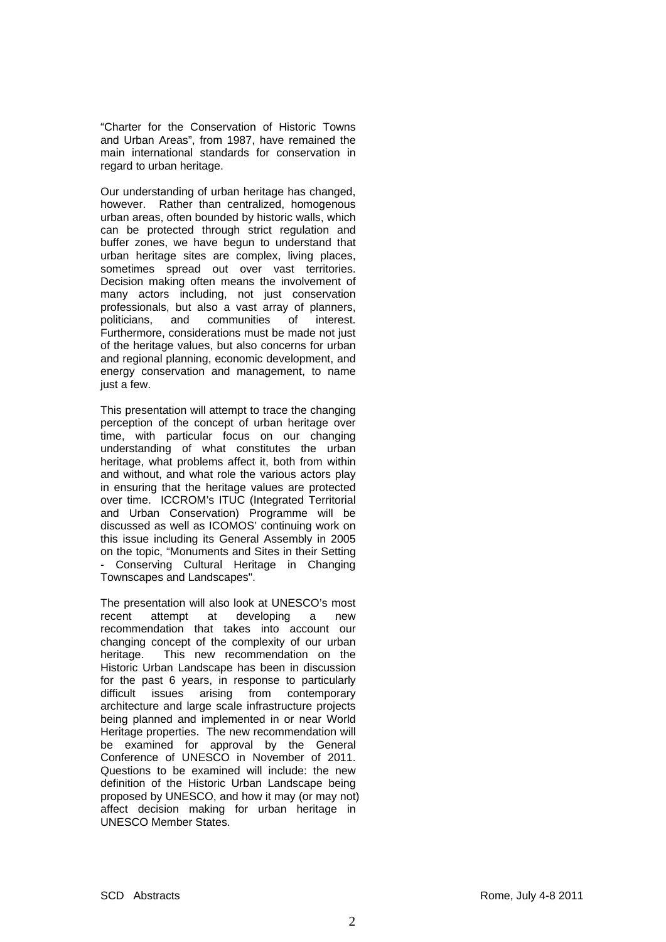"Charter for the Conservation of Historic Towns and Urban Areas", from 1987, have remained the main international standards for conservation in regard to urban heritage.

Our understanding of urban heritage has changed, however. Rather than centralized, homogenous urban areas, often bounded by historic walls, which can be protected through strict regulation and buffer zones, we have begun to understand that urban heritage sites are complex, living places, sometimes spread out over vast territories. Decision making often means the involvement of many actors including, not just conservation professionals, but also a vast array of planners, politicians, and communities of interest. Furthermore, considerations must be made not just of the heritage values, but also concerns for urban and regional planning, economic development, and energy conservation and management, to name just a few.

This presentation will attempt to trace the changing perception of the concept of urban heritage over time, with particular focus on our changing understanding of what constitutes the urban heritage, what problems affect it, both from within and without, and what role the various actors play in ensuring that the heritage values are protected over time. ICCROM's ITUC (Integrated Territorial and Urban Conservation) Programme will be discussed as well as ICOMOS' continuing work on this issue including its General Assembly in 2005 on the topic, "Monuments and Sites in their Setting - Conserving Cultural Heritage in Changing Townscapes and Landscapes".

The presentation will also look at UNESCO's most recent attempt at developing a new recommendation that takes into account our changing concept of the complexity of our urban heritage. This new recommendation on the Historic Urban Landscape has been in discussion for the past 6 years, in response to particularly difficult issues arising from contemporary architecture and large scale infrastructure projects being planned and implemented in or near World Heritage properties. The new recommendation will be examined for approval by the General Conference of UNESCO in November of 2011. Questions to be examined will include: the new definition of the Historic Urban Landscape being proposed by UNESCO, and how it may (or may not) affect decision making for urban heritage in UNESCO Member States.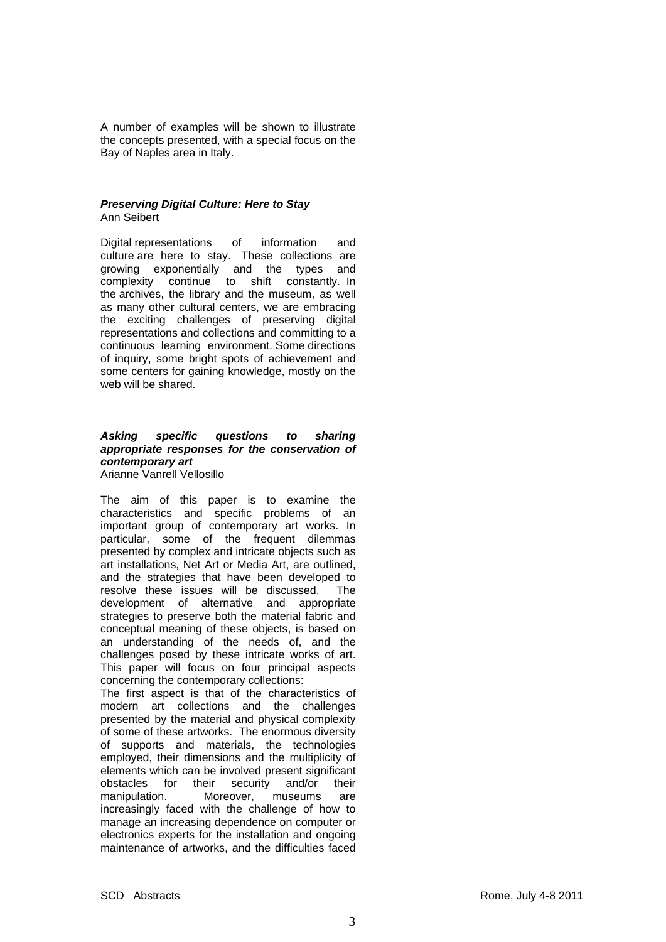A number of examples will be shown to illustrate the concepts presented, with a special focus on the Bay of Naples area in Italy.

## *Preserving Digital Culture: Here to Stay*  Ann Seibert

Digital representations of information and culture are here to stay. These collections are growing exponentially and the types and complexity continue to shift constantly. In the archives, the library and the museum, as well as many other cultural centers, we are embracing the exciting challenges of preserving digital representations and collections and committing to a continuous learning environment. Some directions of inquiry, some bright spots of achievement and some centers for gaining knowledge, mostly on the web will be shared.

#### *Asking specific questions to sharing appropriate responses for the conservation of contemporary art*  Arianne Vanrell Vellosillo

The aim of this paper is to examine the characteristics and specific problems of an important group of contemporary art works. In particular, some of the frequent dilemmas presented by complex and intricate objects such as art installations, Net Art or Media Art, are outlined, and the strategies that have been developed to resolve these issues will be discussed. The development of alternative and appropriate strategies to preserve both the material fabric and conceptual meaning of these objects, is based on an understanding of the needs of, and the challenges posed by these intricate works of art. This paper will focus on four principal aspects concerning the contemporary collections:

The first aspect is that of the characteristics of modern art collections and the challenges presented by the material and physical complexity of some of these artworks. The enormous diversity of supports and materials, the technologies employed, their dimensions and the multiplicity of elements which can be involved present significant obstacles for their security and/or their manipulation. Moreover, museums are increasingly faced with the challenge of how to manage an increasing dependence on computer or electronics experts for the installation and ongoing maintenance of artworks, and the difficulties faced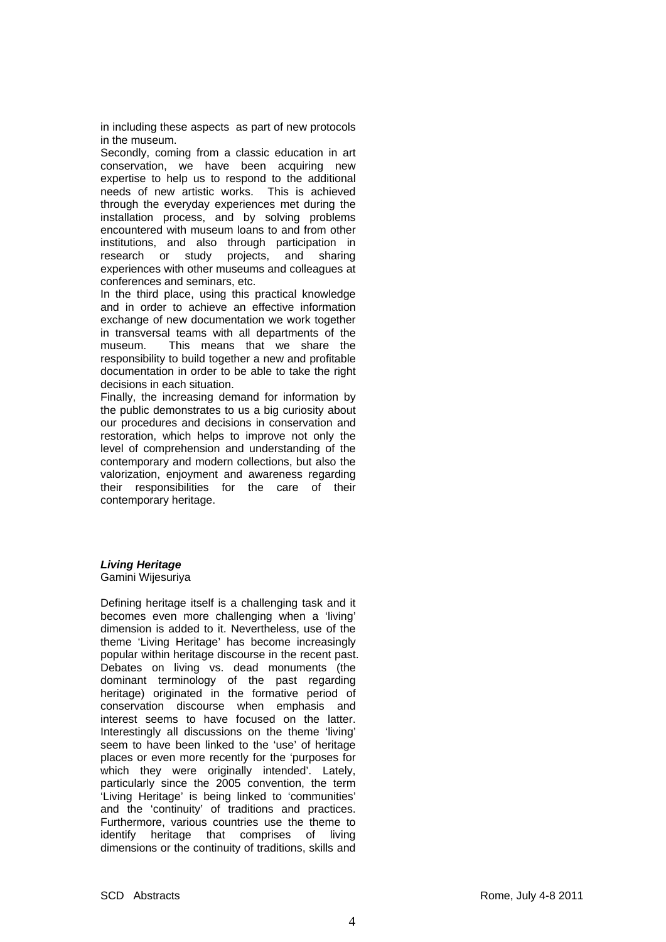in including these aspects as part of new protocols in the museum.

Secondly, coming from a classic education in art conservation, we have been acquiring new expertise to help us to respond to the additional needs of new artistic works. This is achieved through the everyday experiences met during the installation process, and by solving problems encountered with museum loans to and from other institutions, and also through participation in research or study projects, and sharing experiences with other museums and colleagues at conferences and seminars, etc.

In the third place, using this practical knowledge and in order to achieve an effective information exchange of new documentation we work together in transversal teams with all departments of the museum. This means that we share the responsibility to build together a new and profitable documentation in order to be able to take the right decisions in each situation.

Finally, the increasing demand for information by the public demonstrates to us a big curiosity about our procedures and decisions in conservation and restoration, which helps to improve not only the level of comprehension and understanding of the contemporary and modern collections, but also the valorization, enjoyment and awareness regarding their responsibilities for the care of their contemporary heritage.

# *Living Heritage*

Gamini Wijesuriya

Defining heritage itself is a challenging task and it becomes even more challenging when a 'living' dimension is added to it. Nevertheless, use of the theme 'Living Heritage' has become increasingly popular within heritage discourse in the recent past. Debates on living vs. dead monuments (the dominant terminology of the past regarding heritage) originated in the formative period of conservation discourse when emphasis and interest seems to have focused on the latter. Interestingly all discussions on the theme 'living' seem to have been linked to the 'use' of heritage places or even more recently for the 'purposes for which they were originally intended'. Lately, particularly since the 2005 convention, the term 'Living Heritage' is being linked to 'communities' and the 'continuity' of traditions and practices. Furthermore, various countries use the theme to identify heritage that comprises of living dimensions or the continuity of traditions, skills and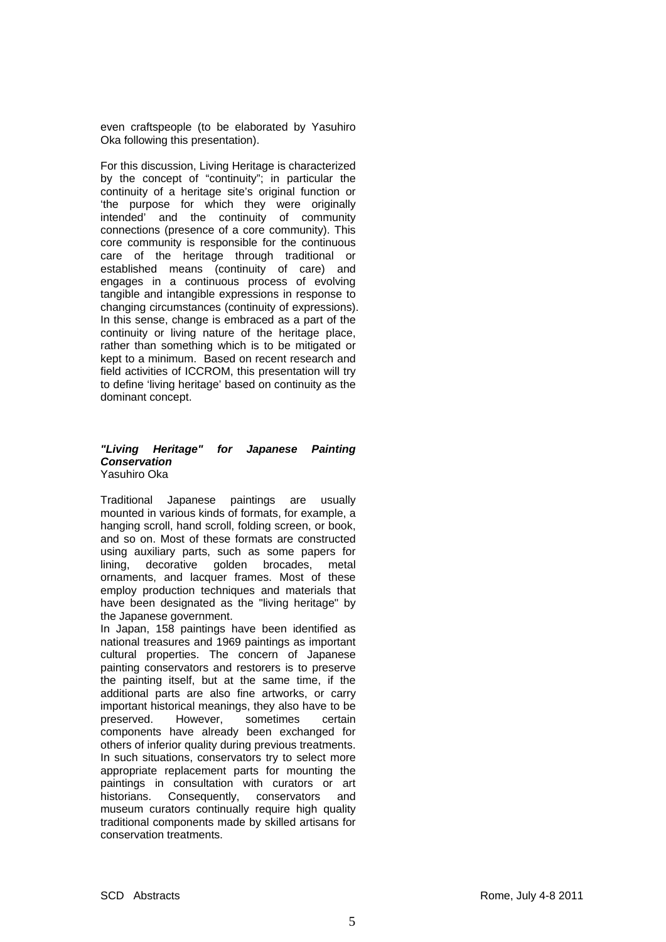even craftspeople (to be elaborated by Yasuhiro Oka following this presentation).

For this discussion, Living Heritage is characterized by the concept of "continuity"; in particular the continuity of a heritage site's original function or 'the purpose for which they were originally intended' and the continuity of community connections (presence of a core community). This core community is responsible for the continuous care of the heritage through traditional or established means (continuity of care) and engages in a continuous process of evolving tangible and intangible expressions in response to changing circumstances (continuity of expressions). In this sense, change is embraced as a part of the continuity or living nature of the heritage place, rather than something which is to be mitigated or kept to a minimum. Based on recent research and field activities of ICCROM, this presentation will try to define 'living heritage' based on continuity as the dominant concept.

#### *"Living Heritage" for Japanese Painting Conservation*  Yasuhiro Oka

Traditional Japanese paintings are usually mounted in various kinds of formats, for example, a hanging scroll, hand scroll, folding screen, or book, and so on. Most of these formats are constructed using auxiliary parts, such as some papers for lining, decorative golden brocades, metal ornaments, and lacquer frames. Most of these employ production techniques and materials that have been designated as the "living heritage" by the Japanese government.

In Japan, 158 paintings have been identified as national treasures and 1969 paintings as important cultural properties. The concern of Japanese painting conservators and restorers is to preserve the painting itself, but at the same time, if the additional parts are also fine artworks, or carry important historical meanings, they also have to be preserved. However, sometimes certain components have already been exchanged for others of inferior quality during previous treatments. In such situations, conservators try to select more appropriate replacement parts for mounting the paintings in consultation with curators or art historians. Consequently, conservators and museum curators continually require high quality traditional components made by skilled artisans for conservation treatments.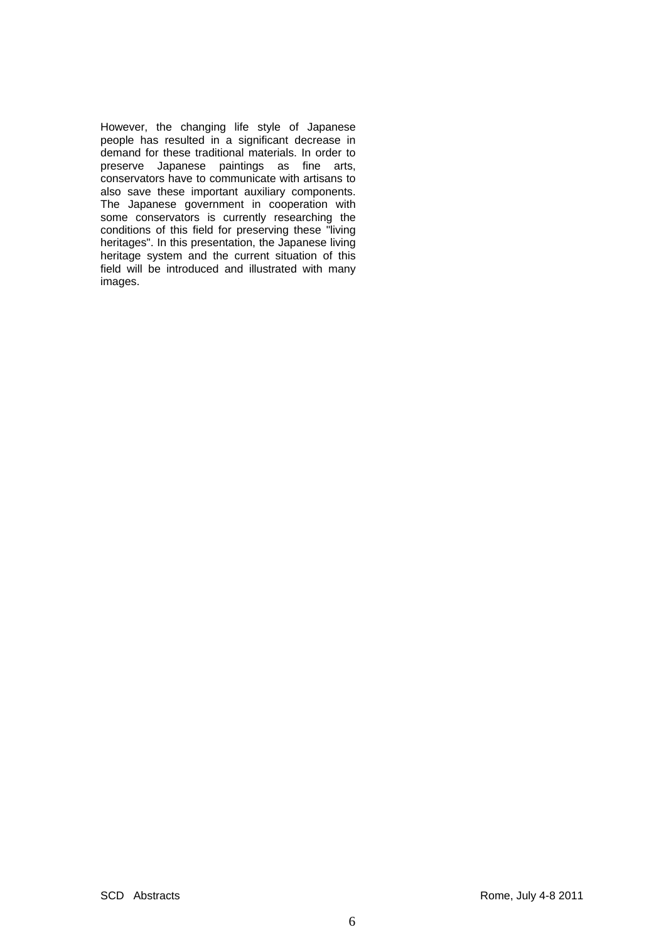However, the changing life style of Japanese people has resulted in a significant decrease in demand for these traditional materials. In order to preserve Japanese paintings as fine arts, conservators have to communicate with artisans to also save these important auxiliary components. The Japanese government in cooperation with some conservators is currently researching the conditions of this field for preserving these "living heritages". In this presentation, the Japanese living heritage system and the current situation of this field will be introduced and illustrated with many images.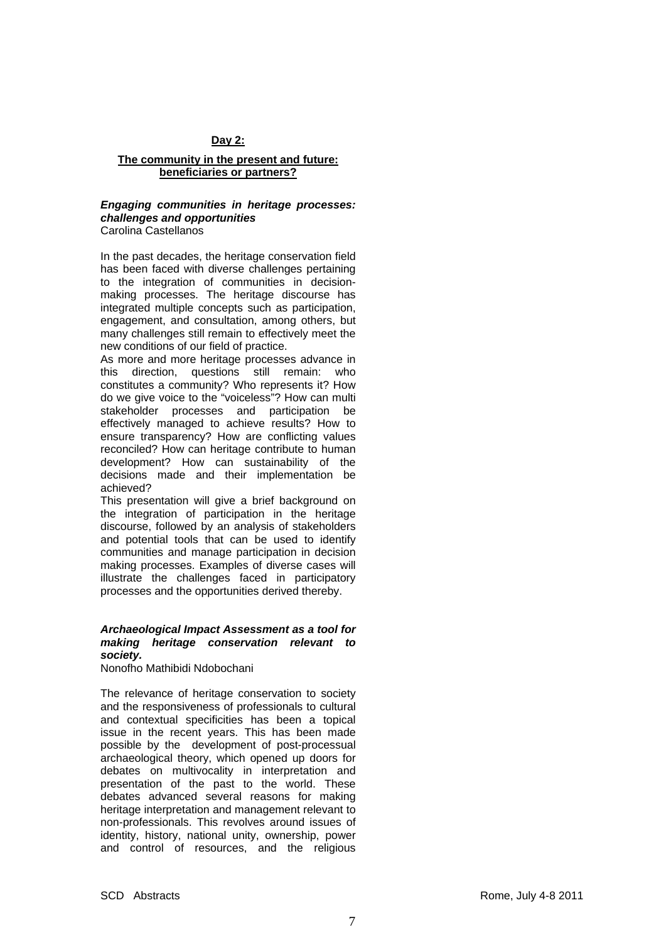## **Day 2:**

#### **The community in the present and future: beneficiaries or partners?**

# *Engaging communities in heritage processes: challenges and opportunities*

Carolina Castellanos

In the past decades, the heritage conservation field has been faced with diverse challenges pertaining to the integration of communities in decisionmaking processes. The heritage discourse has integrated multiple concepts such as participation, engagement, and consultation, among others, but many challenges still remain to effectively meet the new conditions of our field of practice.

As more and more heritage processes advance in this direction, questions still remain: who constitutes a community? Who represents it? How do we give voice to the "voiceless"? How can multi stakeholder processes and participation be effectively managed to achieve results? How to ensure transparency? How are conflicting values reconciled? How can heritage contribute to human development? How can sustainability of the decisions made and their implementation be achieved?

This presentation will give a brief background on the integration of participation in the heritage discourse, followed by an analysis of stakeholders and potential tools that can be used to identify communities and manage participation in decision making processes. Examples of diverse cases will illustrate the challenges faced in participatory processes and the opportunities derived thereby.

# *Archaeological Impact Assessment as a tool for making heritage conservation relevant to society.*

Nonofho Mathibidi Ndobochani

The relevance of heritage conservation to society and the responsiveness of professionals to cultural and contextual specificities has been a topical issue in the recent years. This has been made possible by the development of post-processual archaeological theory, which opened up doors for debates on multivocality in interpretation and presentation of the past to the world. These debates advanced several reasons for making heritage interpretation and management relevant to non-professionals. This revolves around issues of identity, history, national unity, ownership, power and control of resources, and the religious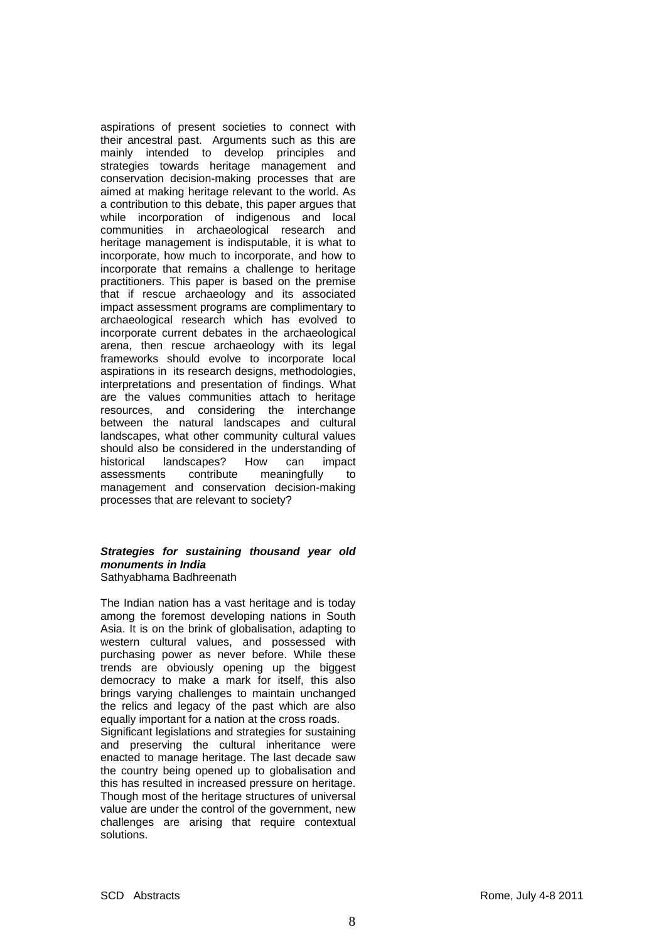aspirations of present societies to connect with their ancestral past. Arguments such as this are mainly intended to develop principles and strategies towards heritage management and conservation decision-making processes that are aimed at making heritage relevant to the world. As a contribution to this debate, this paper argues that while incorporation of indigenous and local communities in archaeological research and heritage management is indisputable, it is what to incorporate, how much to incorporate, and how to incorporate that remains a challenge to heritage practitioners. This paper is based on the premise that if rescue archaeology and its associated impact assessment programs are complimentary to archaeological research which has evolved to incorporate current debates in the archaeological arena, then rescue archaeology with its legal frameworks should evolve to incorporate local aspirations in its research designs, methodologies, interpretations and presentation of findings. What are the values communities attach to heritage resources, and considering the interchange between the natural landscapes and cultural landscapes, what other community cultural values should also be considered in the understanding of historical landscapes? How can impact assessments contribute meaningfully to management and conservation decision-making processes that are relevant to society?

#### *Strategies for sustaining thousand year old monuments in India*  Sathyabhama Badhreenath

The Indian nation has a vast heritage and is today among the foremost developing nations in South Asia. It is on the brink of globalisation, adapting to western cultural values, and possessed with purchasing power as never before. While these trends are obviously opening up the biggest democracy to make a mark for itself, this also brings varying challenges to maintain unchanged the relics and legacy of the past which are also equally important for a nation at the cross roads.

Significant legislations and strategies for sustaining and preserving the cultural inheritance were enacted to manage heritage. The last decade saw the country being opened up to globalisation and this has resulted in increased pressure on heritage. Though most of the heritage structures of universal value are under the control of the government, new challenges are arising that require contextual solutions.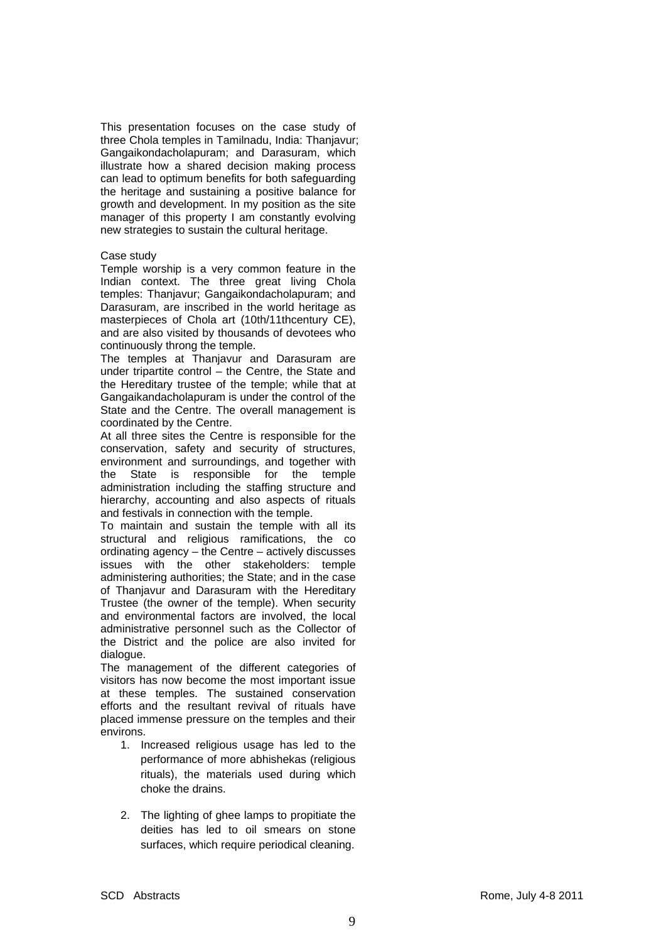This presentation focuses on the case study of three Chola temples in Tamilnadu, India: Thanjavur; Gangaikondacholapuram; and Darasuram, which illustrate how a shared decision making process can lead to optimum benefits for both safeguarding the heritage and sustaining a positive balance for growth and development. In my position as the site manager of this property I am constantly evolving new strategies to sustain the cultural heritage.

#### Case study

Temple worship is a very common feature in the Indian context. The three great living Chola temples: Thanjavur; Gangaikondacholapuram; and Darasuram, are inscribed in the world heritage as masterpieces of Chola art (10th/11thcentury CE), and are also visited by thousands of devotees who continuously throng the temple.

The temples at Thanjavur and Darasuram are under tripartite control – the Centre, the State and the Hereditary trustee of the temple; while that at Gangaikandacholapuram is under the control of the State and the Centre. The overall management is coordinated by the Centre.

At all three sites the Centre is responsible for the conservation, safety and security of structures, environment and surroundings, and together with the State is responsible for the temple administration including the staffing structure and hierarchy, accounting and also aspects of rituals and festivals in connection with the temple.

To maintain and sustain the temple with all its structural and religious ramifications, the co ordinating agency – the Centre – actively discusses issues with the other stakeholders: temple administering authorities; the State; and in the case of Thanjavur and Darasuram with the Hereditary Trustee (the owner of the temple). When security and environmental factors are involved, the local administrative personnel such as the Collector of the District and the police are also invited for dialogue.

The management of the different categories of visitors has now become the most important issue at these temples. The sustained conservation efforts and the resultant revival of rituals have placed immense pressure on the temples and their environs.

- 1. Increased religious usage has led to the performance of more abhishekas (religious rituals), the materials used during which choke the drains.
- 2. The lighting of ghee lamps to propitiate the deities has led to oil smears on stone surfaces, which require periodical cleaning.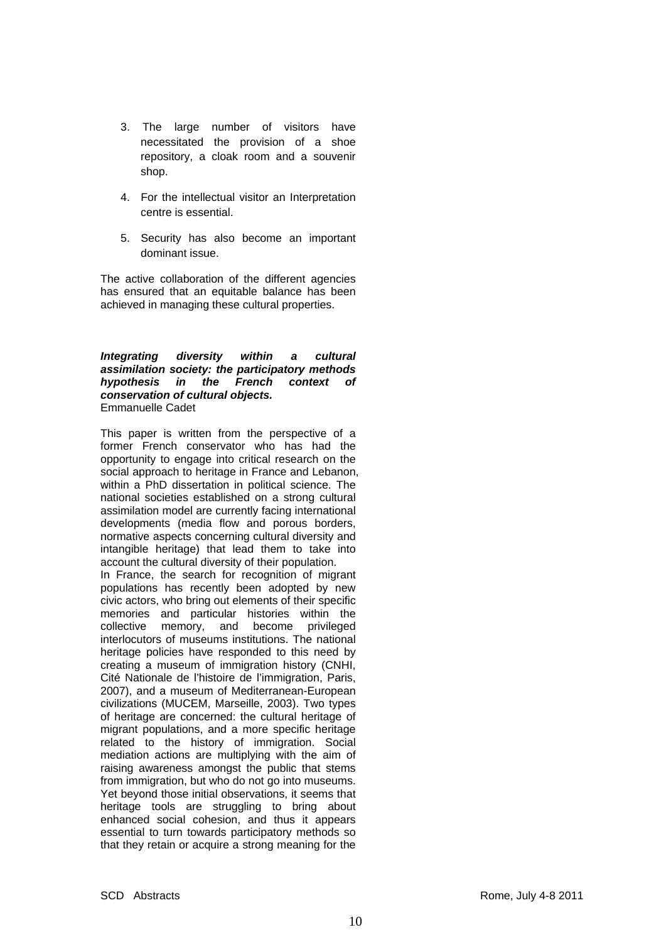- 3. The large number of visitors have necessitated the provision of a shoe repository, a cloak room and a souvenir shop.
- 4. For the intellectual visitor an Interpretation centre is essential.
- 5. Security has also become an important dominant issue.

The active collaboration of the different agencies has ensured that an equitable balance has been achieved in managing these cultural properties.

*Integrating diversity within a cultural assimilation society: the participatory methods hypothesis in the French context of conservation of cultural objects.*  Emmanuelle Cadet

This paper is written from the perspective of a former French conservator who has had the opportunity to engage into critical research on the social approach to heritage in France and Lebanon, within a PhD dissertation in political science. The national societies established on a strong cultural assimilation model are currently facing international developments (media flow and porous borders, normative aspects concerning cultural diversity and intangible heritage) that lead them to take into account the cultural diversity of their population.

In France, the search for recognition of migrant populations has recently been adopted by new civic actors, who bring out elements of their specific memories and particular histories within the collective memory, and become privileged interlocutors of museums institutions. The national heritage policies have responded to this need by creating a museum of immigration history (CNHI, Cité Nationale de l'histoire de l'immigration, Paris, 2007), and a museum of Mediterranean-European civilizations (MUCEM, Marseille, 2003). Two types of heritage are concerned: the cultural heritage of migrant populations, and a more specific heritage related to the history of immigration. Social mediation actions are multiplying with the aim of raising awareness amongst the public that stems from immigration, but who do not go into museums. Yet beyond those initial observations, it seems that heritage tools are struggling to bring about enhanced social cohesion, and thus it appears essential to turn towards participatory methods so that they retain or acquire a strong meaning for the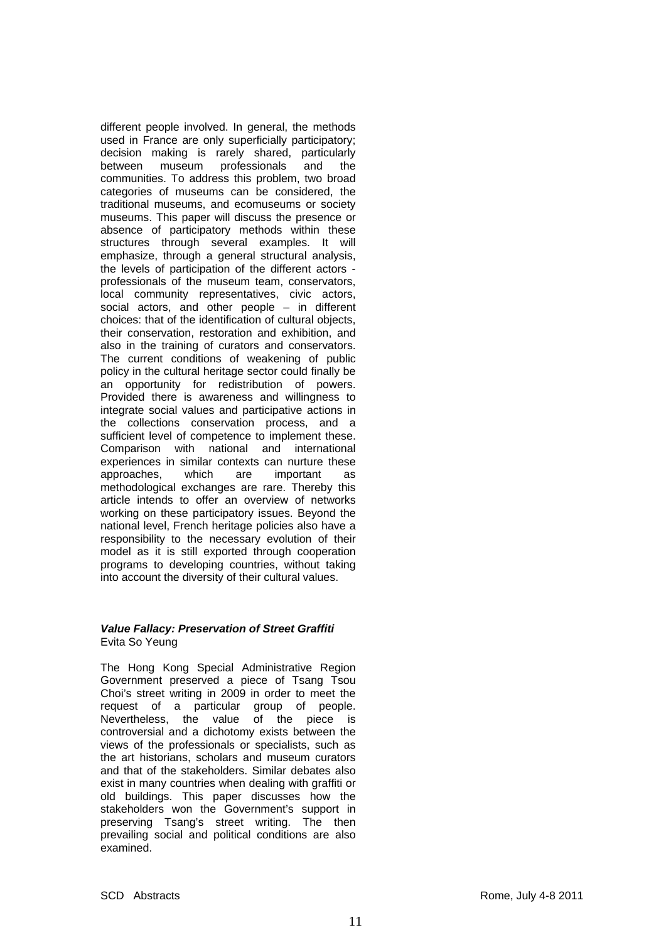different people involved. In general, the methods used in France are only superficially participatory; decision making is rarely shared, particularly between museum professionals and the communities. To address this problem, two broad categories of museums can be considered, the traditional museums, and ecomuseums or society museums. This paper will discuss the presence or absence of participatory methods within these structures through several examples. It will emphasize, through a general structural analysis, the levels of participation of the different actors professionals of the museum team, conservators, local community representatives, civic actors, social actors, and other people – in different choices: that of the identification of cultural objects, their conservation, restoration and exhibition, and also in the training of curators and conservators. The current conditions of weakening of public policy in the cultural heritage sector could finally be an opportunity for redistribution of powers. Provided there is awareness and willingness to integrate social values and participative actions in the collections conservation process, and a sufficient level of competence to implement these. Comparison with national and international experiences in similar contexts can nurture these approaches, which are important as methodological exchanges are rare. Thereby this article intends to offer an overview of networks working on these participatory issues. Beyond the national level, French heritage policies also have a responsibility to the necessary evolution of their model as it is still exported through cooperation programs to developing countries, without taking into account the diversity of their cultural values.

## *Value Fallacy: Preservation of Street Graffiti*  Evita So Yeung

The Hong Kong Special Administrative Region Government preserved a piece of Tsang Tsou Choi's street writing in 2009 in order to meet the request of a particular group of people. Nevertheless, the value of the piece is controversial and a dichotomy exists between the views of the professionals or specialists, such as the art historians, scholars and museum curators and that of the stakeholders. Similar debates also exist in many countries when dealing with graffiti or old buildings. This paper discusses how the stakeholders won the Government's support in preserving Tsang's street writing. The then prevailing social and political conditions are also examined.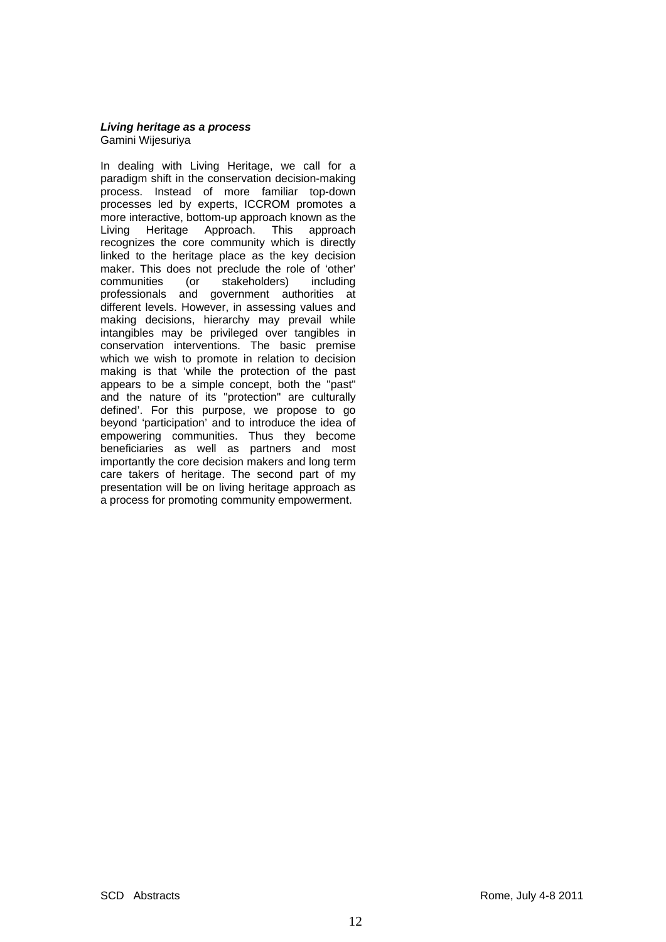#### *Living heritage as a process*  Gamini Wijesuriya

In dealing with Living Heritage, we call for a paradigm shift in the conservation decision-making process. Instead of more familiar top-down processes led by experts, ICCROM promotes a more interactive, bottom-up approach known as the Living Heritage Approach. This approach recognizes the core community which is directly linked to the heritage place as the key decision maker. This does not preclude the role of 'other' communities (or stakeholders) including professionals and government authorities at different levels. However, in assessing values and making decisions, hierarchy may prevail while intangibles may be privileged over tangibles in conservation interventions. The basic premise which we wish to promote in relation to decision making is that 'while the protection of the past appears to be a simple concept, both the "past" and the nature of its "protection" are culturally defined'. For this purpose, we propose to go beyond 'participation' and to introduce the idea of empowering communities. Thus they become beneficiaries as well as partners and most importantly the core decision makers and long term care takers of heritage. The second part of my presentation will be on living heritage approach as a process for promoting community empowerment.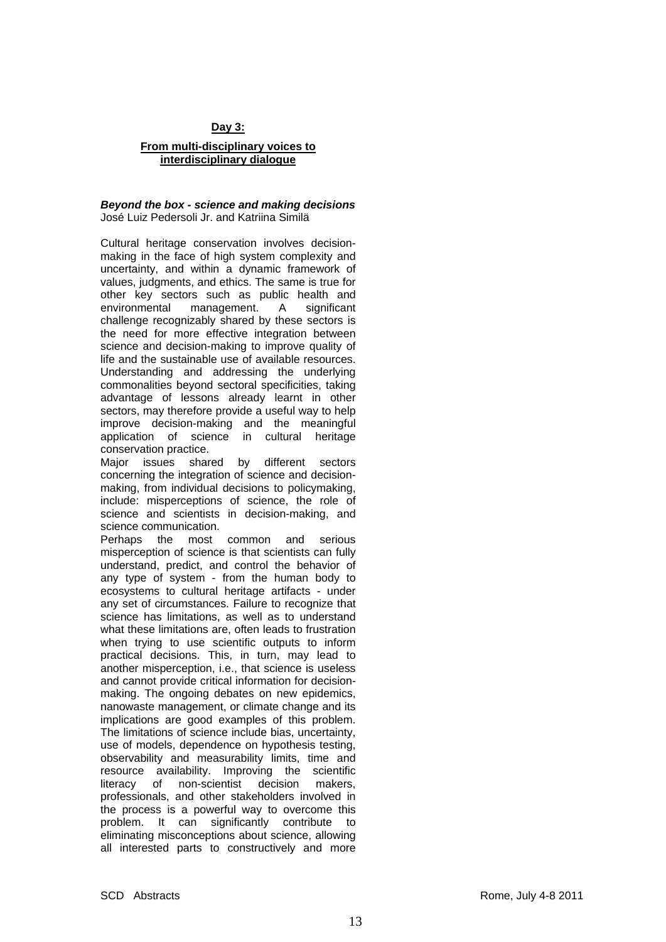## **Day 3:**

## **From multi-disciplinary voices to interdisciplinary dialogue**

#### *Beyond the box - science and making decisions*  José Luiz Pedersoli Jr. and Katriina Similä

Cultural heritage conservation involves decisionmaking in the face of high system complexity and uncertainty, and within a dynamic framework of values, judgments, and ethics. The same is true for other key sectors such as public health and environmental management. A significant challenge recognizably shared by these sectors is the need for more effective integration between science and decision-making to improve quality of life and the sustainable use of available resources. Understanding and addressing the underlying commonalities beyond sectoral specificities, taking advantage of lessons already learnt in other sectors, may therefore provide a useful way to help improve decision-making and the meaningful application of science in cultural heritage conservation practice.

Major issues shared by different sectors concerning the integration of science and decisionmaking, from individual decisions to policymaking, include: misperceptions of science, the role of science and scientists in decision-making, and science communication.

Perhaps the most common and serious misperception of science is that scientists can fully understand, predict, and control the behavior of any type of system - from the human body to ecosystems to cultural heritage artifacts - under any set of circumstances. Failure to recognize that science has limitations, as well as to understand what these limitations are, often leads to frustration when trying to use scientific outputs to inform practical decisions. This, in turn, may lead to another misperception, i.e., that science is useless and cannot provide critical information for decisionmaking. The ongoing debates on new epidemics, nanowaste management, or climate change and its implications are good examples of this problem. The limitations of science include bias, uncertainty, use of models, dependence on hypothesis testing, observability and measurability limits, time and resource availability. Improving the scientific literacy of non-scientist decision makers, professionals, and other stakeholders involved in the process is a powerful way to overcome this problem. It can significantly contribute to eliminating misconceptions about science, allowing all interested parts to constructively and more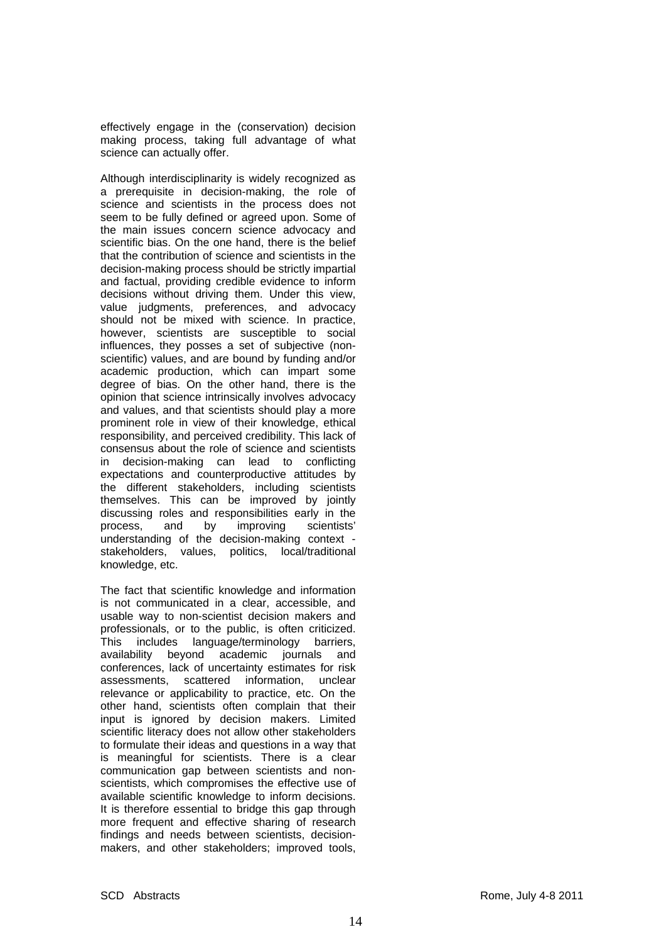effectively engage in the (conservation) decision making process, taking full advantage of what science can actually offer.

Although interdisciplinarity is widely recognized as a prerequisite in decision-making, the role of science and scientists in the process does not seem to be fully defined or agreed upon. Some of the main issues concern science advocacy and scientific bias. On the one hand, there is the belief that the contribution of science and scientists in the decision-making process should be strictly impartial and factual, providing credible evidence to inform decisions without driving them. Under this view, value judgments, preferences, and advocacy should not be mixed with science. In practice, however, scientists are susceptible to social influences, they posses a set of subjective (nonscientific) values, and are bound by funding and/or academic production, which can impart some degree of bias. On the other hand, there is the opinion that science intrinsically involves advocacy and values, and that scientists should play a more prominent role in view of their knowledge, ethical responsibility, and perceived credibility. This lack of consensus about the role of science and scientists in decision-making can lead to conflicting expectations and counterproductive attitudes by the different stakeholders, including scientists themselves. This can be improved by jointly discussing roles and responsibilities early in the process, and by improving scientists' understanding of the decision-making context stakeholders, values, politics, local/traditional knowledge, etc.

The fact that scientific knowledge and information is not communicated in a clear, accessible, and usable way to non-scientist decision makers and professionals, or to the public, is often criticized. This includes language/terminology barriers, availability beyond academic journals and conferences, lack of uncertainty estimates for risk assessments, scattered information, unclear relevance or applicability to practice, etc. On the other hand, scientists often complain that their input is ignored by decision makers. Limited scientific literacy does not allow other stakeholders to formulate their ideas and questions in a way that is meaningful for scientists. There is a clear communication gap between scientists and nonscientists, which compromises the effective use of available scientific knowledge to inform decisions. It is therefore essential to bridge this gap through more frequent and effective sharing of research findings and needs between scientists, decisionmakers, and other stakeholders; improved tools,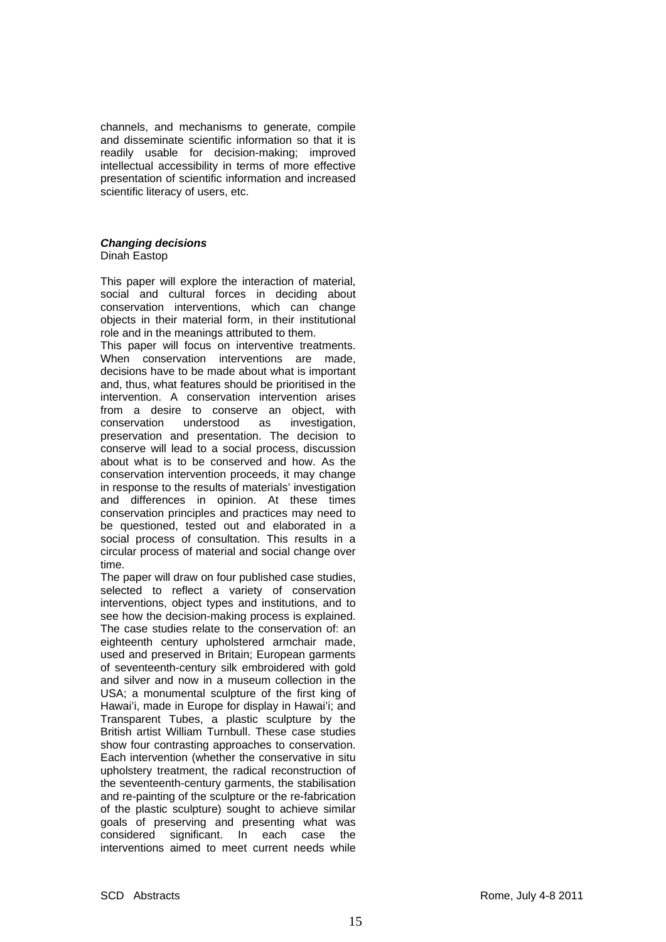channels, and mechanisms to generate, compile and disseminate scientific information so that it is readily usable for decision-making; improved intellectual accessibility in terms of more effective presentation of scientific information and increased scientific literacy of users, etc.

# *Changing decisions*

Dinah Eastop

This paper will explore the interaction of material, social and cultural forces in deciding about conservation interventions, which can change objects in their material form, in their institutional role and in the meanings attributed to them.

This paper will focus on interventive treatments. When conservation interventions are made, decisions have to be made about what is important and, thus, what features should be prioritised in the intervention. A conservation intervention arises from a desire to conserve an object, with conservation understood as investigation, preservation and presentation. The decision to conserve will lead to a social process, discussion about what is to be conserved and how. As the conservation intervention proceeds, it may change in response to the results of materials' investigation and differences in opinion. At these times conservation principles and practices may need to be questioned, tested out and elaborated in a social process of consultation. This results in a circular process of material and social change over time.

The paper will draw on four published case studies, selected to reflect a variety of conservation interventions, object types and institutions, and to see how the decision-making process is explained. The case studies relate to the conservation of: an eighteenth century upholstered armchair made, used and preserved in Britain; European garments of seventeenth-century silk embroidered with gold and silver and now in a museum collection in the USA; a monumental sculpture of the first king of Hawai'i, made in Europe for display in Hawai'i; and Transparent Tubes, a plastic sculpture by the British artist William Turnbull. These case studies show four contrasting approaches to conservation. Each intervention (whether the conservative in situ upholstery treatment, the radical reconstruction of the seventeenth-century garments, the stabilisation and re-painting of the sculpture or the re-fabrication of the plastic sculpture) sought to achieve similar goals of preserving and presenting what was considered significant. In each case the interventions aimed to meet current needs while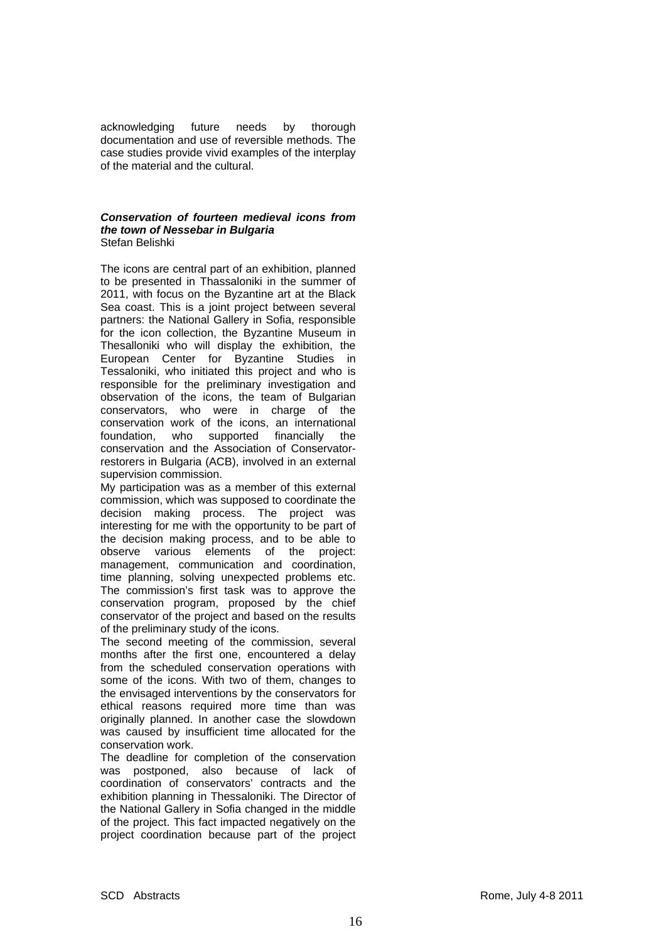acknowledging future needs by thorough documentation and use of reversible methods. The case studies provide vivid examples of the interplay of the material and the cultural.

#### *Conservation of fourteen medieval icons from the town of Nessebar in Bulgaria*  Stefan Belishki

The icons are central part of an exhibition, planned to be presented in Thassaloniki in the summer of 2011, with focus on the Byzantine art at the Black Sea coast. This is a joint project between several partners: the National Gallery in Sofia, responsible for the icon collection, the Byzantine Museum in Thesalloniki who will display the exhibition, the European Center for Byzantine Studies in Tessaloniki, who initiated this project and who is responsible for the preliminary investigation and observation of the icons, the team of Bulgarian conservators, who were in charge of the conservation work of the icons, an international foundation, who supported financially the conservation and the Association of Conservatorrestorers in Bulgaria (ACB), involved in an external supervision commission.

My participation was as a member of this external commission, which was supposed to coordinate the decision making process. The project was interesting for me with the opportunity to be part of the decision making process, and to be able to observe various elements of the project: management, communication and coordination, time planning, solving unexpected problems etc. The commission's first task was to approve the conservation program, proposed by the chief conservator of the project and based on the results of the preliminary study of the icons.

The second meeting of the commission, several months after the first one, encountered a delay from the scheduled conservation operations with some of the icons. With two of them, changes to the envisaged interventions by the conservators for ethical reasons required more time than was originally planned. In another case the slowdown was caused by insufficient time allocated for the conservation work.

The deadline for completion of the conservation was postponed, also because of lack of coordination of conservators' contracts and the exhibition planning in Thessaloniki. The Director of the National Gallery in Sofia changed in the middle of the project. This fact impacted negatively on the project coordination because part of the project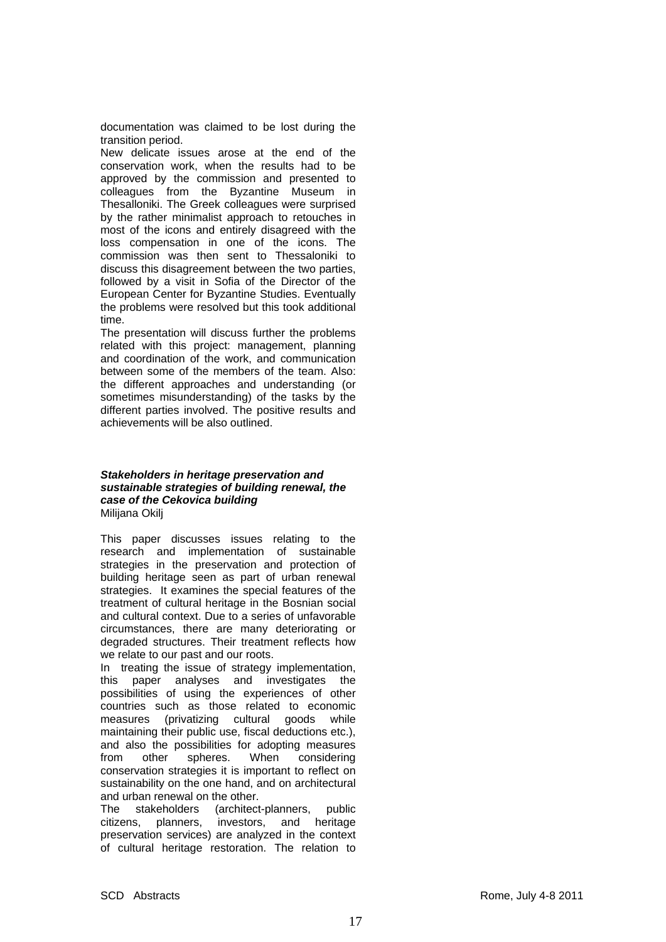documentation was claimed to be lost during the transition period.

New delicate issues arose at the end of the conservation work, when the results had to be approved by the commission and presented to colleagues from the Byzantine Museum in Thesalloniki. The Greek colleagues were surprised by the rather minimalist approach to retouches in most of the icons and entirely disagreed with the loss compensation in one of the icons. The commission was then sent to Thessaloniki to discuss this disagreement between the two parties, followed by a visit in Sofia of the Director of the European Center for Byzantine Studies. Eventually the problems were resolved but this took additional time.

The presentation will discuss further the problems related with this project: management, planning and coordination of the work, and communication between some of the members of the team. Also: the different approaches and understanding (or sometimes misunderstanding) of the tasks by the different parties involved. The positive results and achievements will be also outlined.

#### *Stakeholders in heritage preservation and sustainable strategies of building renewal, the case of the Cekovica building*  Milijana Okilj

This paper discusses issues relating to the research and implementation of sustainable strategies in the preservation and protection of building heritage seen as part of urban renewal strategies. It examines the special features of the treatment of cultural heritage in the Bosnian social and cultural context. Due to a series of unfavorable circumstances, there are many deteriorating or degraded structures. Their treatment reflects how we relate to our past and our roots.

In treating the issue of strategy implementation, this paper analyses and investigates the possibilities of using the experiences of other countries such as those related to economic measures (privatizing cultural goods while maintaining their public use, fiscal deductions etc.), and also the possibilities for adopting measures from other spheres. When considering conservation strategies it is important to reflect on sustainability on the one hand, and on architectural and urban renewal on the other.

The stakeholders (architect-planners, public citizens, planners, investors, and heritage preservation services) are analyzed in the context of cultural heritage restoration. The relation to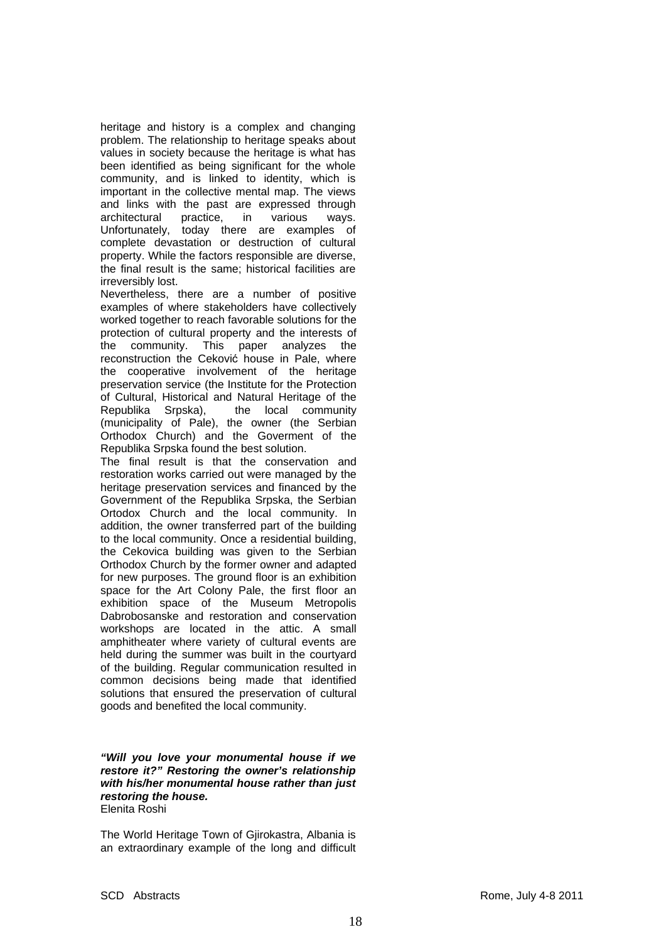heritage and history is a complex and changing problem. The relationship to heritage speaks about values in society because the heritage is what has been identified as being significant for the whole community, and is linked to identity, which is important in the collective mental map. The views and links with the past are expressed through architectural practice, in various ways. Unfortunately, today there are examples of complete devastation or destruction of cultural property. While the factors responsible are diverse, the final result is the same; historical facilities are irreversibly lost.

Nevertheless, there are a number of positive examples of where stakeholders have collectively worked together to reach favorable solutions for the protection of cultural property and the interests of the community. This paper analyzes the reconstruction the Ceković house in Pale, where the cooperative involvement of the heritage preservation service (the Institute for the Protection of Cultural, Historical and Natural Heritage of the Republika Srpska), the local community (municipality of Pale), the owner (the Serbian Orthodox Church) and the Goverment of the Republika Srpska found the best solution.

The final result is that the conservation and restoration works carried out were managed by the heritage preservation services and financed by the Government of the Republika Srpska, the Serbian Ortodox Church and the local community. In addition, the owner transferred part of the building to the local community. Once a residential building, the Cekovica building was given to the Serbian Orthodox Church by the former owner and adapted for new purposes. The ground floor is an exhibition space for the Art Colony Pale, the first floor an exhibition space of the Museum Metropolis Dabrobosanske and restoration and conservation workshops are located in the attic. A small amphitheater where variety of cultural events are held during the summer was built in the courtyard of the building. Regular communication resulted in common decisions being made that identified solutions that ensured the preservation of cultural goods and benefited the local community.

#### *"Will you love your monumental house if we restore it?" Restoring the owner's relationship with his/her monumental house rather than just restoring the house.*  Elenita Roshi

The World Heritage Town of Gjirokastra, Albania is an extraordinary example of the long and difficult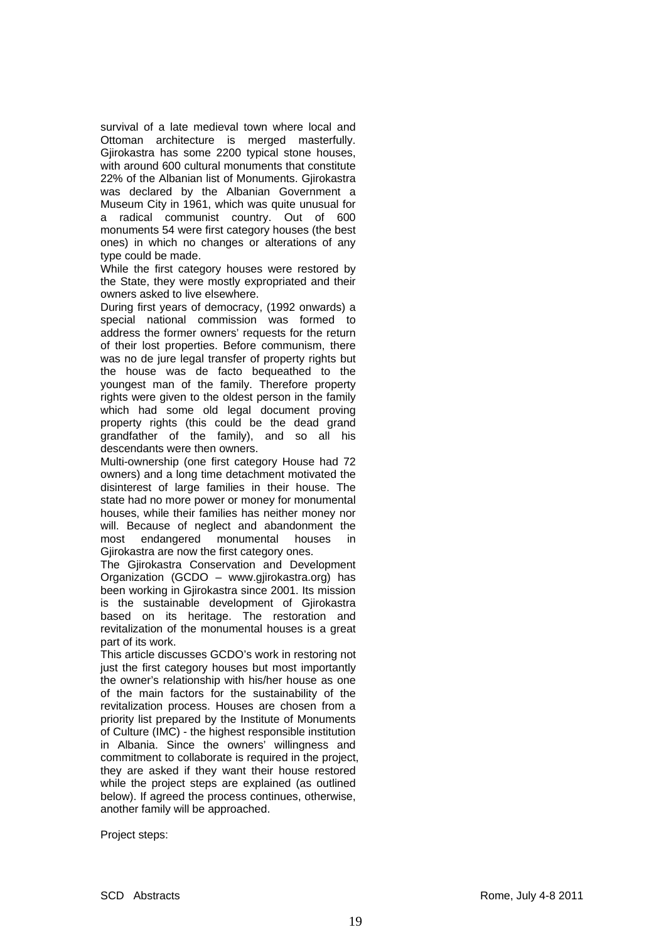survival of a late medieval town where local and Ottoman architecture is merged masterfully. Gjirokastra has some 2200 typical stone houses, with around 600 cultural monuments that constitute 22% of the Albanian list of Monuments. Gjirokastra was declared by the Albanian Government a Museum City in 1961, which was quite unusual for a radical communist country. Out of 600 monuments 54 were first category houses (the best ones) in which no changes or alterations of any type could be made.

While the first category houses were restored by the State, they were mostly expropriated and their owners asked to live elsewhere.

During first years of democracy, (1992 onwards) a special national commission was formed to address the former owners' requests for the return of their lost properties. Before communism, there was no de jure legal transfer of property rights but the house was de facto bequeathed to the youngest man of the family. Therefore property rights were given to the oldest person in the family which had some old legal document proving property rights (this could be the dead grand grandfather of the family), and so all his descendants were then owners.

Multi-ownership (one first category House had 72 owners) and a long time detachment motivated the disinterest of large families in their house. The state had no more power or money for monumental houses, while their families has neither money nor will. Because of neglect and abandonment the most endangered monumental houses in Gjirokastra are now the first category ones.

The Gjirokastra Conservation and Development Organization (GCDO – www.gjirokastra.org) has been working in Gjirokastra since 2001. Its mission is the sustainable development of Gjirokastra based on its heritage. The restoration and revitalization of the monumental houses is a great part of its work.

This article discusses GCDO's work in restoring not just the first category houses but most importantly the owner's relationship with his/her house as one of the main factors for the sustainability of the revitalization process. Houses are chosen from a priority list prepared by the Institute of Monuments of Culture (IMC) - the highest responsible institution in Albania. Since the owners' willingness and commitment to collaborate is required in the project, they are asked if they want their house restored while the project steps are explained (as outlined below). If agreed the process continues, otherwise, another family will be approached.

Project steps: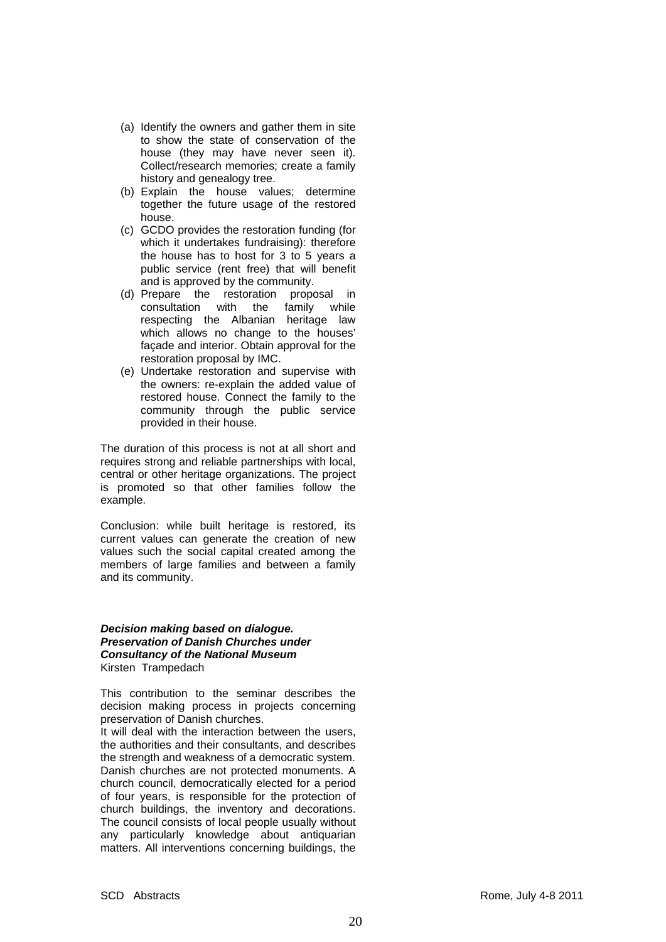- (a) Identify the owners and gather them in site to show the state of conservation of the house (they may have never seen it). Collect/research memories; create a family history and genealogy tree.
- (b) Explain the house values; determine together the future usage of the restored house.
- (c) GCDO provides the restoration funding (for which it undertakes fundraising): therefore the house has to host for 3 to 5 years a public service (rent free) that will benefit and is approved by the community.
- (d) Prepare the restoration proposal in consultation with the family while respecting the Albanian heritage law which allows no change to the houses' façade and interior. Obtain approval for the restoration proposal by IMC.
- (e) Undertake restoration and supervise with the owners: re-explain the added value of restored house. Connect the family to the community through the public service provided in their house.

The duration of this process is not at all short and requires strong and reliable partnerships with local, central or other heritage organizations. The project is promoted so that other families follow the example.

Conclusion: while built heritage is restored, its current values can generate the creation of new values such the social capital created among the members of large families and between a family and its community.

#### *Decision making based on dialogue. Preservation of Danish Churches under Consultancy of the National Museum*  Kirsten Trampedach

This contribution to the seminar describes the decision making process in projects concerning preservation of Danish churches.

It will deal with the interaction between the users. the authorities and their consultants, and describes the strength and weakness of a democratic system. Danish churches are not protected monuments. A church council, democratically elected for a period of four years, is responsible for the protection of church buildings, the inventory and decorations. The council consists of local people usually without any particularly knowledge about antiquarian matters. All interventions concerning buildings, the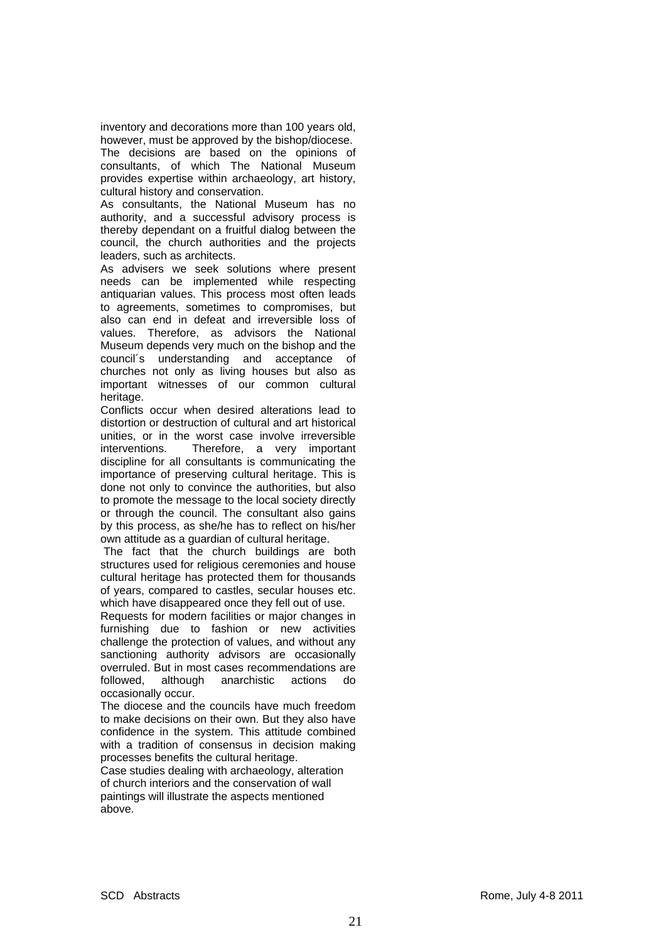inventory and decorations more than 100 years old, however, must be approved by the bishop/diocese.

The decisions are based on the opinions of consultants, of which The National Museum provides expertise within archaeology, art history, cultural history and conservation.

As consultants, the National Museum has no authority, and a successful advisory process is thereby dependant on a fruitful dialog between the council, the church authorities and the projects leaders, such as architects.

As advisers we seek solutions where present needs can be implemented while respecting antiquarian values. This process most often leads to agreements, sometimes to compromises, but also can end in defeat and irreversible loss of values. Therefore, as advisors the National Museum depends very much on the bishop and the council´s understanding and acceptance of churches not only as living houses but also as important witnesses of our common cultural heritage.

Conflicts occur when desired alterations lead to distortion or destruction of cultural and art historical unities, or in the worst case involve irreversible interventions. Therefore, a very important discipline for all consultants is communicating the importance of preserving cultural heritage. This is done not only to convince the authorities, but also to promote the message to the local society directly or through the council. The consultant also gains by this process, as she/he has to reflect on his/her own attitude as a guardian of cultural heritage.

 The fact that the church buildings are both structures used for religious ceremonies and house cultural heritage has protected them for thousands of years, compared to castles, secular houses etc. which have disappeared once they fell out of use.

Requests for modern facilities or major changes in furnishing due to fashion or new activities challenge the protection of values, and without any sanctioning authority advisors are occasionally overruled. But in most cases recommendations are followed, although anarchistic actions do occasionally occur.

The diocese and the councils have much freedom to make decisions on their own. But they also have confidence in the system. This attitude combined with a tradition of consensus in decision making processes benefits the cultural heritage.

Case studies dealing with archaeology, alteration of church interiors and the conservation of wall paintings will illustrate the aspects mentioned above.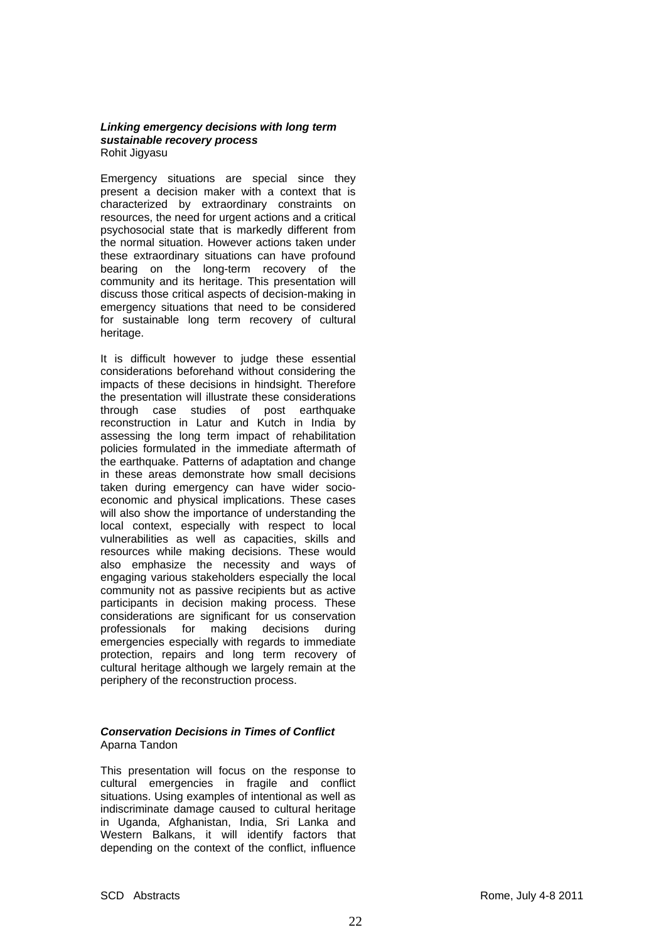#### *Linking emergency decisions with long term sustainable recovery process*  Rohit Jigyasu

Emergency situations are special since they present a decision maker with a context that is characterized by extraordinary constraints on resources, the need for urgent actions and a critical psychosocial state that is markedly different from the normal situation. However actions taken under these extraordinary situations can have profound bearing on the long-term recovery of the community and its heritage. This presentation will discuss those critical aspects of decision-making in emergency situations that need to be considered for sustainable long term recovery of cultural heritage.

It is difficult however to judge these essential considerations beforehand without considering the impacts of these decisions in hindsight. Therefore the presentation will illustrate these considerations through case studies of post earthquake reconstruction in Latur and Kutch in India by assessing the long term impact of rehabilitation policies formulated in the immediate aftermath of the earthquake. Patterns of adaptation and change in these areas demonstrate how small decisions taken during emergency can have wider socioeconomic and physical implications. These cases will also show the importance of understanding the local context, especially with respect to local vulnerabilities as well as capacities, skills and resources while making decisions. These would also emphasize the necessity and ways of engaging various stakeholders especially the local community not as passive recipients but as active participants in decision making process. These considerations are significant for us conservation professionals for making decisions during emergencies especially with regards to immediate protection, repairs and long term recovery of cultural heritage although we largely remain at the periphery of the reconstruction process.

# *Conservation Decisions in Times of Conflict*  Aparna Tandon

This presentation will focus on the response to cultural emergencies in fragile and conflict situations. Using examples of intentional as well as indiscriminate damage caused to cultural heritage in Uganda, Afghanistan, India, Sri Lanka and Western Balkans, it will identify factors that depending on the context of the conflict, influence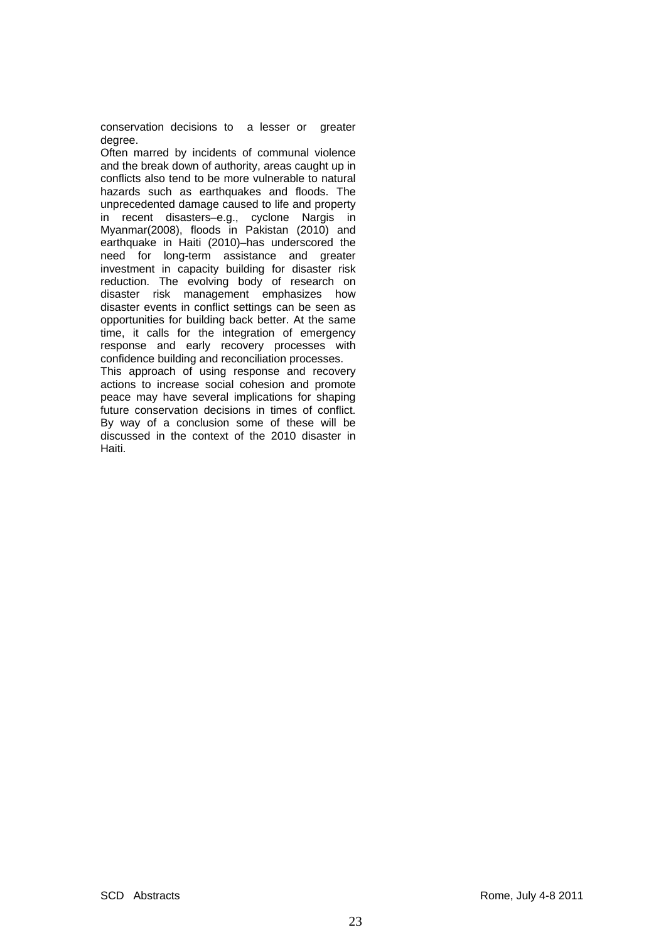conservation decisions to a lesser or greater degree.

Often marred by incidents of communal violence and the break down of authority, areas caught up in conflicts also tend to be more vulnerable to natural hazards such as earthquakes and floods. The unprecedented damage caused to life and property in recent disasters–e.g., cyclone Nargis in Myanmar(2008), floods in Pakistan (2010) and earthquake in Haiti (2010)–has underscored the need for long-term assistance and greater investment in capacity building for disaster risk reduction. The evolving body of research on disaster risk management emphasizes how disaster events in conflict settings can be seen as opportunities for building back better. At the same time, it calls for the integration of emergency response and early recovery processes with confidence building and reconciliation processes.

This approach of using response and recovery actions to increase social cohesion and promote peace may have several implications for shaping future conservation decisions in times of conflict. By way of a conclusion some of these will be discussed in the context of the 2010 disaster in Haiti.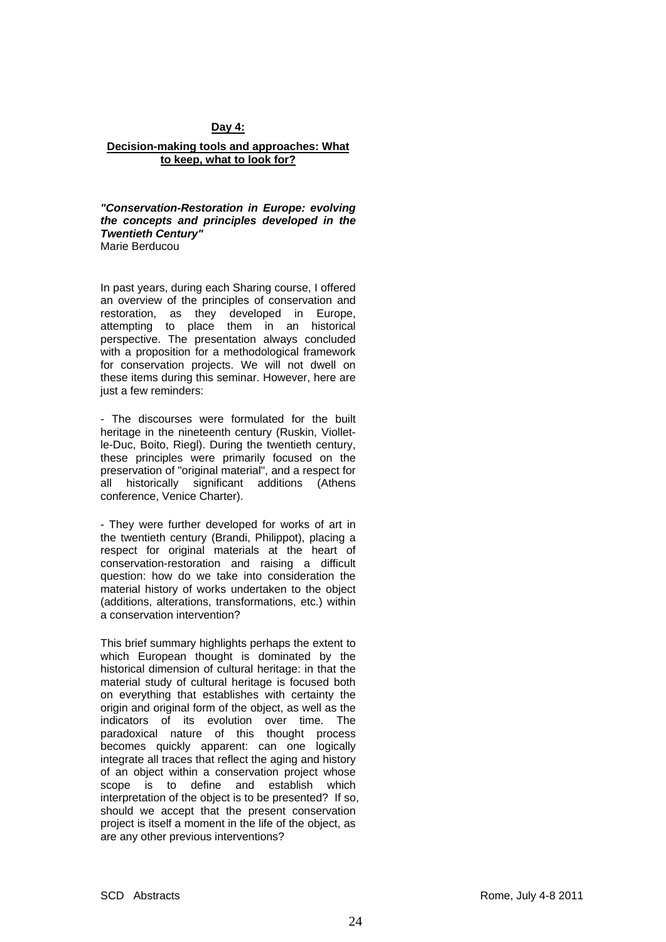# **Day 4:**

#### **Decision-making tools and approaches: What to keep, what to look for?**

*"Conservation-Restoration in Europe: evolving the concepts and principles developed in the Twentieth Century"*  Marie Berducou

In past years, during each Sharing course, I offered an overview of the principles of conservation and restoration, as they developed in Europe, attempting to place them in an historical perspective. The presentation always concluded with a proposition for a methodological framework for conservation projects. We will not dwell on these items during this seminar. However, here are just a few reminders:

- The discourses were formulated for the built heritage in the nineteenth century (Ruskin, Violletle-Duc, Boito, Riegl). During the twentieth century, these principles were primarily focused on the preservation of "original material", and a respect for all historically significant additions (Athens conference, Venice Charter).

- They were further developed for works of art in the twentieth century (Brandi, Philippot), placing a respect for original materials at the heart of conservation-restoration and raising a difficult question: how do we take into consideration the material history of works undertaken to the object (additions, alterations, transformations, etc.) within a conservation intervention?

This brief summary highlights perhaps the extent to which European thought is dominated by the historical dimension of cultural heritage: in that the material study of cultural heritage is focused both on everything that establishes with certainty the origin and original form of the object, as well as the indicators of its evolution over time. The paradoxical nature of this thought process becomes quickly apparent: can one logically integrate all traces that reflect the aging and history of an object within a conservation project whose scope is to define and establish which interpretation of the object is to be presented? If so, should we accept that the present conservation project is itself a moment in the life of the object, as are any other previous interventions?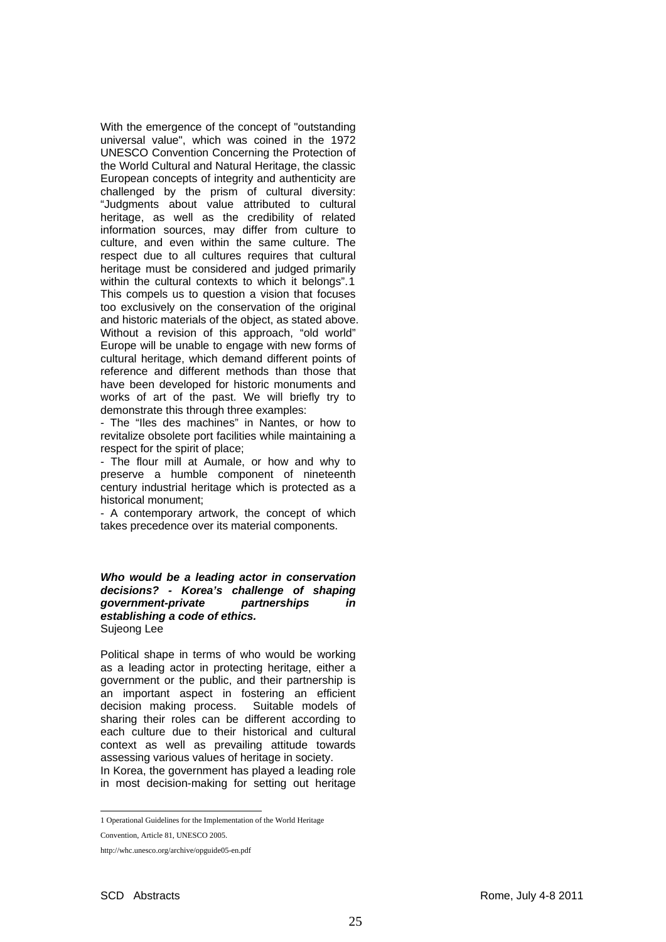With the emergence of the concept of "outstanding universal value", which was coined in the 1972 UNESCO Convention Concerning the Protection of the World Cultural and Natural Heritage, the classic European concepts of integrity and authenticity are challenged by the prism of cultural diversity: "Judgments about value attributed to cultural heritage, as well as the credibility of related information sources, may differ from culture to culture, and even within the same culture. The respect due to all cultures requires that cultural heritage must be considered and judged primarily within the cultural contexts to which it belongs".[1](#page-24-0) This compels us to question a vision that focuses too exclusively on the conservation of the original and historic materials of the object, as stated above. Without a revision of this approach, "old world" Europe will be unable to engage with new forms of cultural heritage, which demand different points of reference and different methods than those that have been developed for historic monuments and works of art of the past. We will briefly try to demonstrate this through three examples:

- The "Iles des machines" in Nantes, or how to revitalize obsolete port facilities while maintaining a respect for the spirit of place;

- The flour mill at Aumale, or how and why to preserve a humble component of nineteenth century industrial heritage which is protected as a historical monument;

- A contemporary artwork, the concept of which takes precedence over its material components.

#### *Who would be a leading actor in conservation decisions? - Korea's challenge of shaping government-private partnerships in establishing a code of ethics.*  Sujeong Lee

Political shape in terms of who would be working as a leading actor in protecting heritage, either a government or the public, and their partnership is an important aspect in fostering an efficient decision making process. Suitable models of sharing their roles can be different according to each culture due to their historical and cultural context as well as prevailing attitude towards assessing various values of heritage in society. In Korea, the government has played a leading role

in most decision-making for setting out heritage

 1 Operational Guidelines for the Implementation of the World Heritage

<span id="page-24-0"></span>Convention, Article 81, UNESCO 2005.

http://whc.unesco.org/archive/opguide05-en.pdf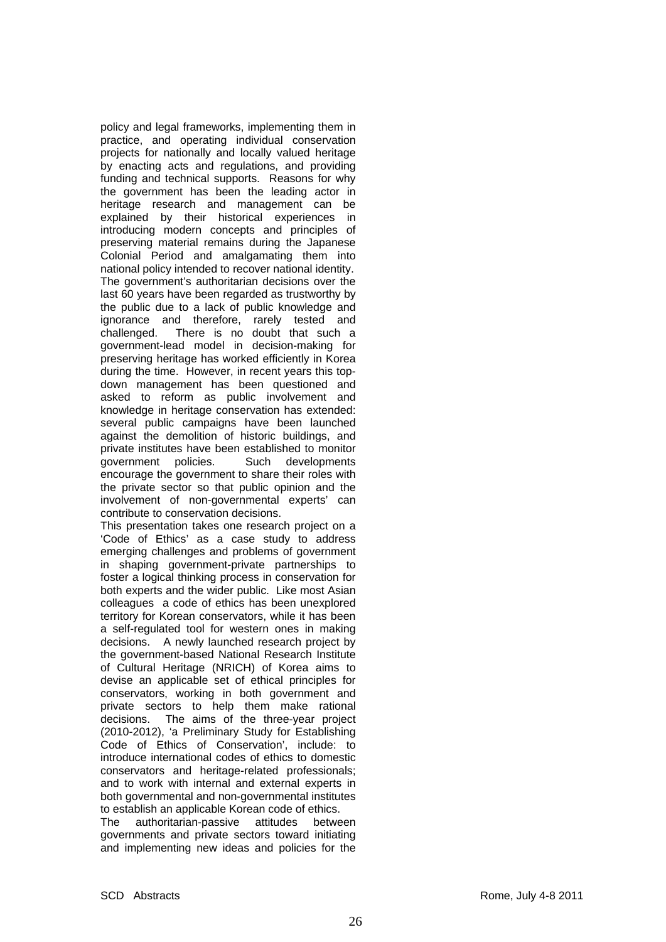policy and legal frameworks, implementing them in practice, and operating individual conservation projects for nationally and locally valued heritage by enacting acts and regulations, and providing funding and technical supports. Reasons for why the government has been the leading actor in heritage research and management can be explained by their historical experiences in introducing modern concepts and principles of preserving material remains during the Japanese Colonial Period and amalgamating them into national policy intended to recover national identity. The government's authoritarian decisions over the last 60 years have been regarded as trustworthy by the public due to a lack of public knowledge and ignorance and therefore, rarely tested and challenged. There is no doubt that such a government-lead model in decision-making for preserving heritage has worked efficiently in Korea during the time. However, in recent years this topdown management has been questioned and asked to reform as public involvement and knowledge in heritage conservation has extended: several public campaigns have been launched against the demolition of historic buildings, and private institutes have been established to monitor government policies. Such developments encourage the government to share their roles with the private sector so that public opinion and the involvement of non-governmental experts' can contribute to conservation decisions.

This presentation takes one research project on a 'Code of Ethics' as a case study to address emerging challenges and problems of government in shaping government-private partnerships to foster a logical thinking process in conservation for both experts and the wider public. Like most Asian colleagues a code of ethics has been unexplored territory for Korean conservators, while it has been a self-regulated tool for western ones in making decisions. A newly launched research project by the government-based National Research Institute of Cultural Heritage (NRICH) of Korea aims to devise an applicable set of ethical principles for conservators, working in both government and private sectors to help them make rational decisions. The aims of the three-year project (2010-2012), 'a Preliminary Study for Establishing Code of Ethics of Conservation', include: to introduce international codes of ethics to domestic conservators and heritage-related professionals; and to work with internal and external experts in both governmental and non-governmental institutes to establish an applicable Korean code of ethics.

The authoritarian-passive attitudes between governments and private sectors toward initiating and implementing new ideas and policies for the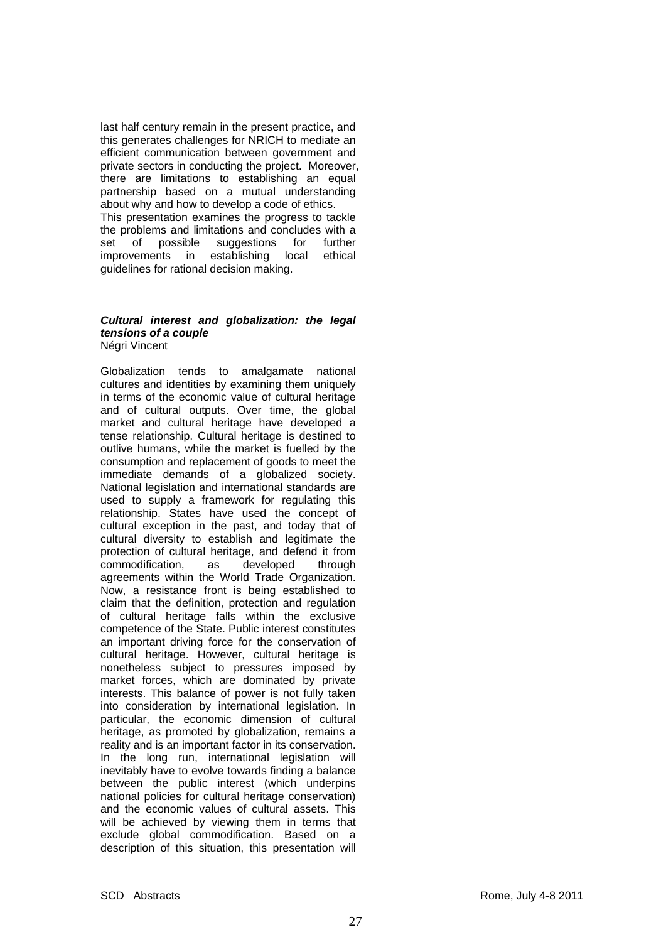last half century remain in the present practice, and this generates challenges for NRICH to mediate an efficient communication between government and private sectors in conducting the project. Moreover, there are limitations to establishing an equal partnership based on a mutual understanding about why and how to develop a code of ethics. This presentation examines the progress to tackle the problems and limitations and concludes with a<br>set of possible suggestions for further set of possible suggestions for further improvements in establishing local ethical guidelines for rational decision making.

#### *Cultural interest and globalization: the legal tensions of a couple*  Négri Vincent

Globalization tends to amalgamate national cultures and identities by examining them uniquely in terms of the economic value of cultural heritage and of cultural outputs. Over time, the global market and cultural heritage have developed a tense relationship. Cultural heritage is destined to outlive humans, while the market is fuelled by the consumption and replacement of goods to meet the immediate demands of a globalized society. National legislation and international standards are used to supply a framework for regulating this relationship. States have used the concept of cultural exception in the past, and today that of cultural diversity to establish and legitimate the protection of cultural heritage, and defend it from commodification, as developed through agreements within the World Trade Organization. Now, a resistance front is being established to claim that the definition, protection and regulation of cultural heritage falls within the exclusive competence of the State. Public interest constitutes an important driving force for the conservation of cultural heritage. However, cultural heritage is nonetheless subject to pressures imposed by market forces, which are dominated by private interests. This balance of power is not fully taken into consideration by international legislation. In particular, the economic dimension of cultural heritage, as promoted by globalization, remains a reality and is an important factor in its conservation. In the long run, international legislation will inevitably have to evolve towards finding a balance between the public interest (which underpins national policies for cultural heritage conservation) and the economic values of cultural assets. This will be achieved by viewing them in terms that exclude global commodification. Based on a description of this situation, this presentation will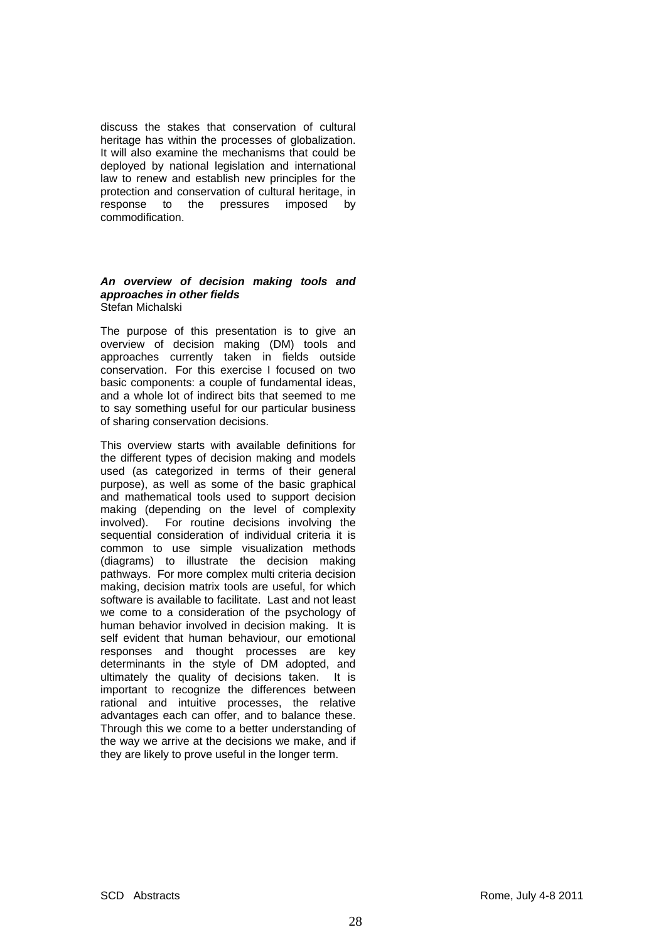discuss the stakes that conservation of cultural heritage has within the processes of globalization. It will also examine the mechanisms that could be deployed by national legislation and international law to renew and establish new principles for the protection and conservation of cultural heritage, in response to the pressures imposed by commodification.

#### *An overview of decision making tools and approaches in other fields*  Stefan Michalski

The purpose of this presentation is to give an overview of decision making (DM) tools and approaches currently taken in fields outside conservation. For this exercise I focused on two basic components: a couple of fundamental ideas, and a whole lot of indirect bits that seemed to me to say something useful for our particular business of sharing conservation decisions.

This overview starts with available definitions for the different types of decision making and models used (as categorized in terms of their general purpose), as well as some of the basic graphical and mathematical tools used to support decision making (depending on the level of complexity involved). For routine decisions involving the sequential consideration of individual criteria it is common to use simple visualization methods (diagrams) to illustrate the decision making pathways. For more complex multi criteria decision making, decision matrix tools are useful, for which software is available to facilitate. Last and not least we come to a consideration of the psychology of human behavior involved in decision making. It is self evident that human behaviour, our emotional responses and thought processes are key determinants in the style of DM adopted, and ultimately the quality of decisions taken. It is important to recognize the differences between rational and intuitive processes, the relative advantages each can offer, and to balance these. Through this we come to a better understanding of the way we arrive at the decisions we make, and if they are likely to prove useful in the longer term.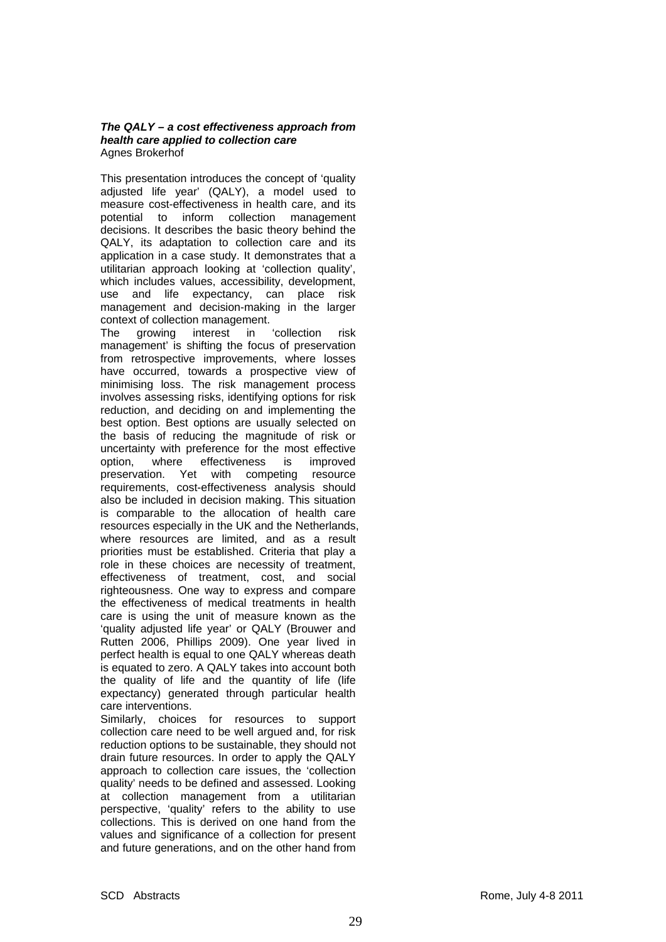## *The QALY – a cost effectiveness approach from health care applied to collection care*  Agnes Brokerhof

This presentation introduces the concept of 'quality adjusted life year' (QALY), a model used to measure cost-effectiveness in health care, and its potential to inform collection management decisions. It describes the basic theory behind the QALY, its adaptation to collection care and its application in a case study. It demonstrates that a utilitarian approach looking at 'collection quality', which includes values, accessibility, development, use and life expectancy, can place risk management and decision-making in the larger context of collection management.

The growing interest in 'collection risk management' is shifting the focus of preservation from retrospective improvements, where losses have occurred, towards a prospective view of minimising loss. The risk management process involves assessing risks, identifying options for risk reduction, and deciding on and implementing the best option. Best options are usually selected on the basis of reducing the magnitude of risk or uncertainty with preference for the most effective option, where effectiveness is improved preservation. Yet with competing resource requirements, cost-effectiveness analysis should also be included in decision making. This situation is comparable to the allocation of health care resources especially in the UK and the Netherlands, where resources are limited, and as a result priorities must be established. Criteria that play a role in these choices are necessity of treatment, effectiveness of treatment, cost, and social righteousness. One way to express and compare the effectiveness of medical treatments in health care is using the unit of measure known as the 'quality adjusted life year' or QALY (Brouwer and Rutten 2006, Phillips 2009). One year lived in perfect health is equal to one QALY whereas death is equated to zero. A QALY takes into account both the quality of life and the quantity of life (life expectancy) generated through particular health care interventions.

Similarly, choices for resources to support collection care need to be well argued and, for risk reduction options to be sustainable, they should not drain future resources. In order to apply the QALY approach to collection care issues, the 'collection quality' needs to be defined and assessed. Looking at collection management from a utilitarian perspective, 'quality' refers to the ability to use collections. This is derived on one hand from the values and significance of a collection for present and future generations, and on the other hand from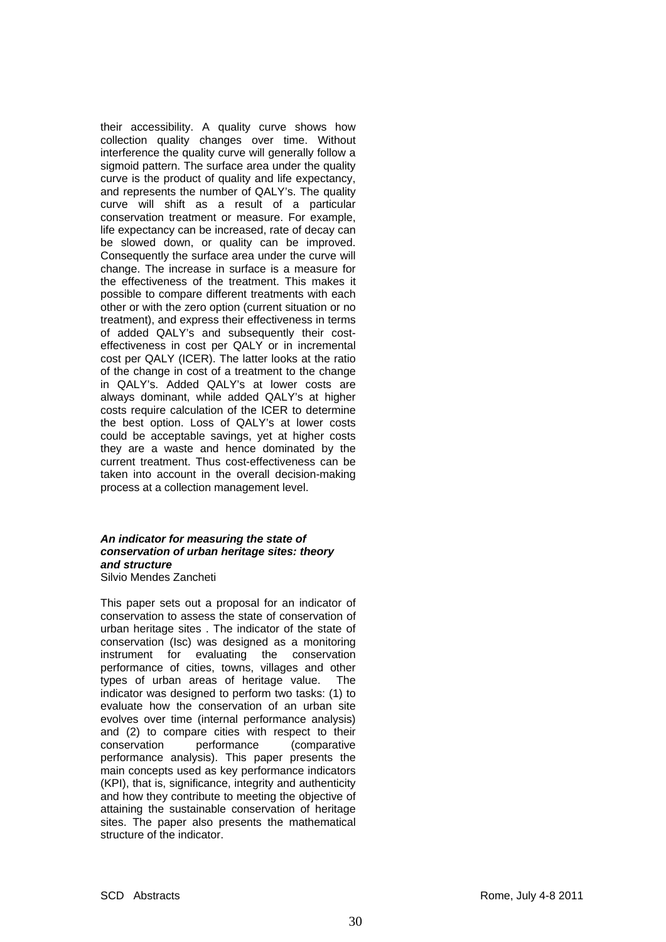their accessibility. A quality curve shows how collection quality changes over time. Without interference the quality curve will generally follow a sigmoid pattern. The surface area under the quality curve is the product of quality and life expectancy, and represents the number of QALY's. The quality curve will shift as a result of a particular conservation treatment or measure. For example, life expectancy can be increased, rate of decay can be slowed down, or quality can be improved. Consequently the surface area under the curve will change. The increase in surface is a measure for the effectiveness of the treatment. This makes it possible to compare different treatments with each other or with the zero option (current situation or no treatment), and express their effectiveness in terms of added QALY's and subsequently their costeffectiveness in cost per QALY or in incremental cost per QALY (ICER). The latter looks at the ratio of the change in cost of a treatment to the change in QALY's. Added QALY's at lower costs are always dominant, while added QALY's at higher costs require calculation of the ICER to determine the best option. Loss of QALY's at lower costs could be acceptable savings, yet at higher costs they are a waste and hence dominated by the current treatment. Thus cost-effectiveness can be taken into account in the overall decision-making process at a collection management level.

#### *An indicator for measuring the state of conservation of urban heritage sites: theory and structure*  Silvio Mendes Zancheti

This paper sets out a proposal for an indicator of conservation to assess the state of conservation of urban heritage sites . The indicator of the state of conservation (Isc) was designed as a monitoring instrument for evaluating the conservation performance of cities, towns, villages and other types of urban areas of heritage value. The indicator was designed to perform two tasks: (1) to evaluate how the conservation of an urban site evolves over time (internal performance analysis) and (2) to compare cities with respect to their conservation performance (comparative performance analysis). This paper presents the main concepts used as key performance indicators (KPI), that is, significance, integrity and authenticity and how they contribute to meeting the objective of attaining the sustainable conservation of heritage sites. The paper also presents the mathematical structure of the indicator.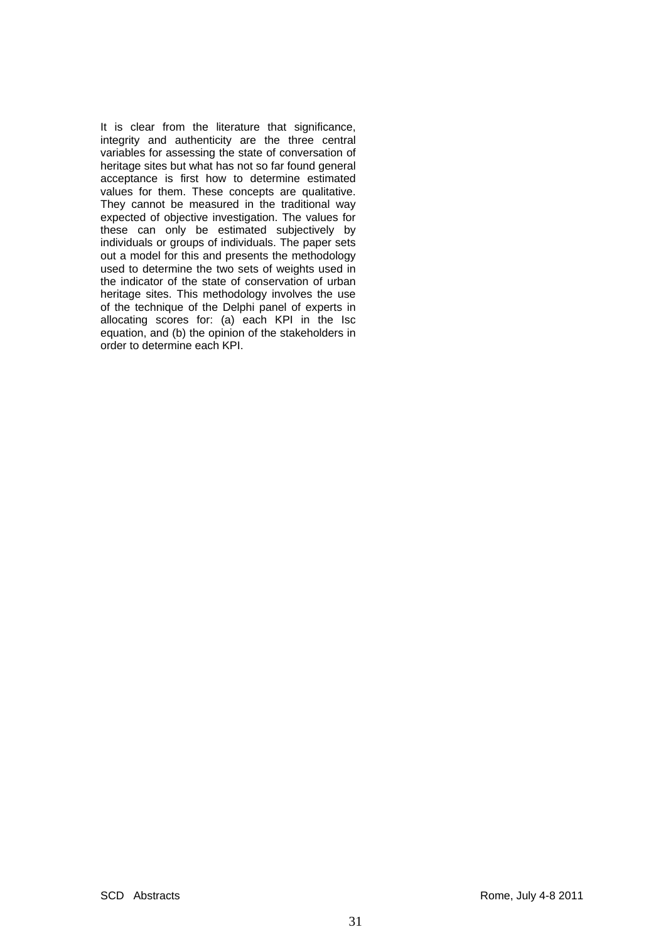It is clear from the literature that significance, integrity and authenticity are the three central variables for assessing the state of conversation of heritage sites but what has not so far found general acceptance is first how to determine estimated values for them. These concepts are qualitative. They cannot be measured in the traditional way expected of objective investigation. The values for these can only be estimated subjectively by individuals or groups of individuals. The paper sets out a model for this and presents the methodology used to determine the two sets of weights used in the indicator of the state of conservation of urban heritage sites. This methodology involves the use of the technique of the Delphi panel of experts in allocating scores for: (a) each KPI in the Isc equation, and (b) the opinion of the stakeholders in order to determine each KPI.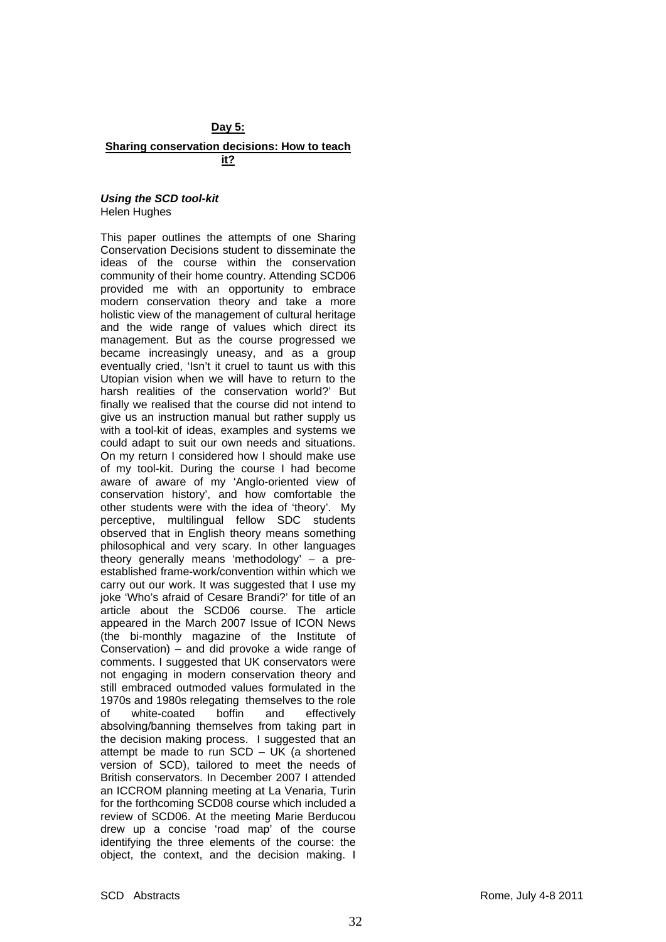## **Day 5:**

#### **Sharing conservation decisions: How to teach it?**

#### *Using the SCD tool-kit*  Helen Hughes

This paper outlines the attempts of one Sharing Conservation Decisions student to disseminate the ideas of the course within the conservation community of their home country. Attending SCD06 provided me with an opportunity to embrace modern conservation theory and take a more holistic view of the management of cultural heritage and the wide range of values which direct its management. But as the course progressed we became increasingly uneasy, and as a group eventually cried, 'Isn't it cruel to taunt us with this Utopian vision when we will have to return to the harsh realities of the conservation world?' But finally we realised that the course did not intend to give us an instruction manual but rather supply us with a tool-kit of ideas, examples and systems we could adapt to suit our own needs and situations. On my return I considered how I should make use of my tool-kit. During the course I had become aware of aware of my 'Anglo-oriented view of conservation history', and how comfortable the other students were with the idea of 'theory'. My perceptive, multilingual fellow SDC students observed that in English theory means something philosophical and very scary. In other languages theory generally means 'methodology' – a preestablished frame-work/convention within which we carry out our work. It was suggested that I use my joke 'Who's afraid of Cesare Brandi?' for title of an article about the SCD06 course. The article appeared in the March 2007 Issue of ICON News (the bi-monthly magazine of the Institute of Conservation) – and did provoke a wide range of comments. I suggested that UK conservators were not engaging in modern conservation theory and still embraced outmoded values formulated in the 1970s and 1980s relegating themselves to the role of white-coated boffin and effectively absolving/banning themselves from taking part in the decision making process. I suggested that an attempt be made to run  $SCD - UK$  (a shortened version of SCD), tailored to meet the needs of British conservators. In December 2007 I attended an ICCROM planning meeting at La Venaria, Turin for the forthcoming SCD08 course which included a review of SCD06. At the meeting Marie Berducou drew up a concise 'road map' of the course identifying the three elements of the course: the object, the context, and the decision making. I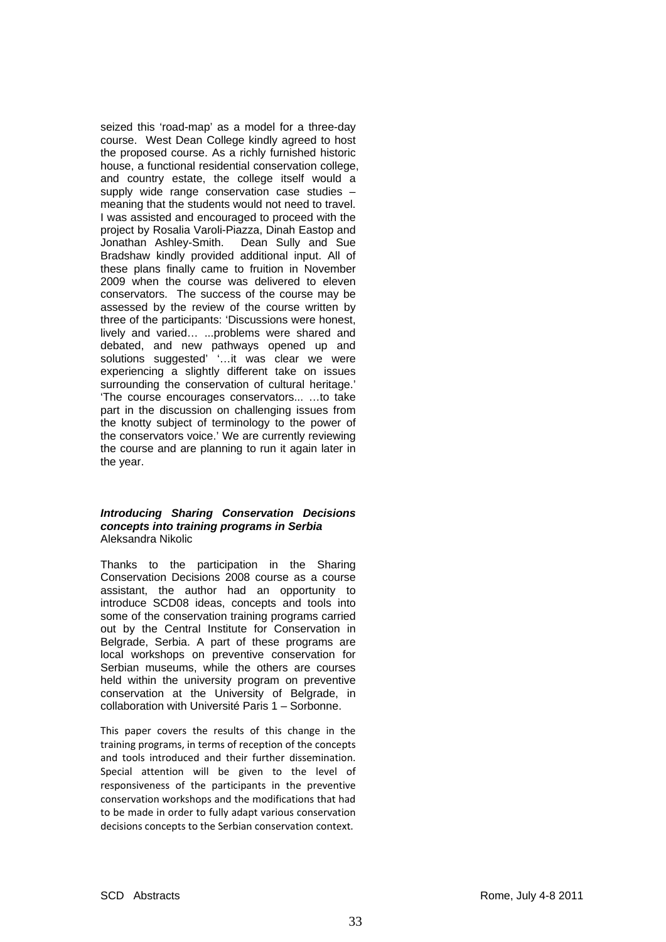seized this 'road-map' as a model for a three-day course. West Dean College kindly agreed to host the proposed course. As a richly furnished historic house, a functional residential conservation college, and country estate, the college itself would a supply wide range conservation case studies – meaning that the students would not need to travel. I was assisted and encouraged to proceed with the project by Rosalia Varoli-Piazza, Dinah Eastop and Jonathan Ashley-Smith. Dean Sully and Sue Bradshaw kindly provided additional input. All of these plans finally came to fruition in November 2009 when the course was delivered to eleven conservators. The success of the course may be assessed by the review of the course written by three of the participants: 'Discussions were honest, lively and varied… ...problems were shared and debated, and new pathways opened up and solutions suggested' '…it was clear we were experiencing a slightly different take on issues surrounding the conservation of cultural heritage.' 'The course encourages conservators... …to take part in the discussion on challenging issues from the knotty subject of terminology to the power of the conservators voice.' We are currently reviewing the course and are planning to run it again later in the year.

#### *Introducing Sharing Conservation Decisions concepts into training programs in Serbia*  Aleksandra Nikolic

Thanks to the participation in the Sharing Conservation Decisions 2008 course as a course assistant, the author had an opportunity to introduce SCD08 ideas, concepts and tools into some of the conservation training programs carried out by the Central Institute for Conservation in Belgrade, Serbia. A part of these programs are local workshops on preventive conservation for Serbian museums, while the others are courses held within the university program on preventive conservation at the University of Belgrade, in collaboration with Université Paris 1 – Sorbonne.

This paper covers the results of this change in the training programs, in terms of reception of the concepts and tools introduced and their further dissemination. Special attention will be given to the level of responsiveness of the participants in the preventive conservation workshops and the modifications that had to be made in order to fully adapt various conservation decisions concepts to the Serbian conservation context.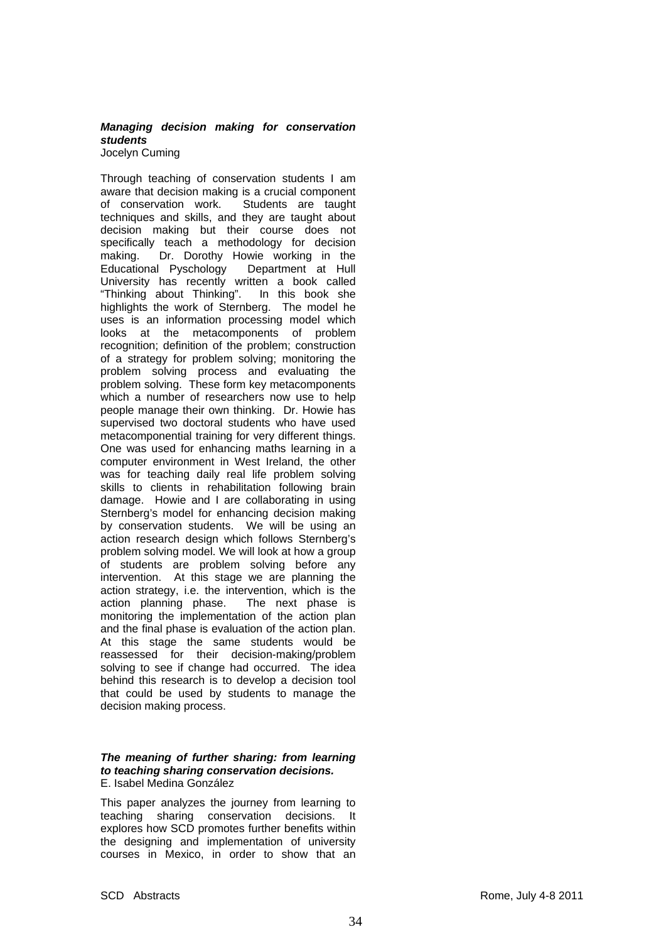# *Managing decision making for conservation students*

Jocelyn Cuming

Through teaching of conservation students I am aware that decision making is a crucial component of conservation work. Students are taught techniques and skills, and they are taught about decision making but their course does not specifically teach a methodology for decision making. Dr. Dorothy Howie working in the Educational Pyschology Department at Hull University has recently written a book called "Thinking about Thinking". In this book she highlights the work of Sternberg. The model he uses is an information processing model which looks at the metacomponents of problem recognition; definition of the problem; construction of a strategy for problem solving; monitoring the problem solving process and evaluating the problem solving. These form key metacomponents which a number of researchers now use to help people manage their own thinking. Dr. Howie has supervised two doctoral students who have used metacomponential training for very different things. One was used for enhancing maths learning in a computer environment in West Ireland, the other was for teaching daily real life problem solving skills to clients in rehabilitation following brain damage. Howie and I are collaborating in using Sternberg's model for enhancing decision making by conservation students. We will be using an action research design which follows Sternberg's problem solving model. We will look at how a group of students are problem solving before any intervention. At this stage we are planning the action strategy, i.e. the intervention, which is the action planning phase. The next phase is monitoring the implementation of the action plan and the final phase is evaluation of the action plan. At this stage the same students would be reassessed for their decision-making/problem solving to see if change had occurred. The idea behind this research is to develop a decision tool that could be used by students to manage the decision making process.

#### *The meaning of further sharing: from learning to teaching sharing conservation decisions.*  E. Isabel Medina González

This paper analyzes the journey from learning to teaching sharing conservation decisions. It explores how SCD promotes further benefits within the designing and implementation of university courses in Mexico, in order to show that an